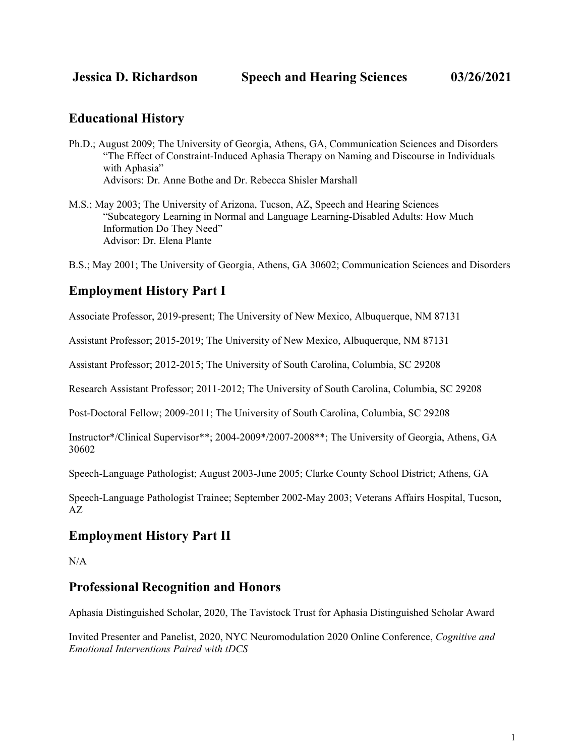### **Educational History**

- Ph.D.; August 2009; The University of Georgia, Athens, GA, Communication Sciences and Disorders "The Effect of Constraint-Induced Aphasia Therapy on Naming and Discourse in Individuals with Aphasia" Advisors: Dr. Anne Bothe and Dr. Rebecca Shisler Marshall
- M.S.; May 2003; The University of Arizona, Tucson, AZ, Speech and Hearing Sciences "Subcategory Learning in Normal and Language Learning-Disabled Adults: How Much Information Do They Need" Advisor: Dr. Elena Plante

B.S.; May 2001; The University of Georgia, Athens, GA 30602; Communication Sciences and Disorders

# **Employment History Part I**

Associate Professor, 2019-present; The University of New Mexico, Albuquerque, NM 87131

Assistant Professor; 2015-2019; The University of New Mexico, Albuquerque, NM 87131

Assistant Professor; 2012-2015; The University of South Carolina, Columbia, SC 29208

Research Assistant Professor; 2011-2012; The University of South Carolina, Columbia, SC 29208

Post-Doctoral Fellow; 2009-2011; The University of South Carolina, Columbia, SC 29208

Instructor\*/Clinical Supervisor\*\*; 2004-2009\*/2007-2008\*\*; The University of Georgia, Athens, GA 30602

Speech-Language Pathologist; August 2003-June 2005; Clarke County School District; Athens, GA

Speech-Language Pathologist Trainee; September 2002-May 2003; Veterans Affairs Hospital, Tucson, AZ

### **Employment History Part II**

N/A

### **Professional Recognition and Honors**

Aphasia Distinguished Scholar, 2020, The Tavistock Trust for Aphasia Distinguished Scholar Award

Invited Presenter and Panelist, 2020, NYC Neuromodulation 2020 Online Conference, *Cognitive and Emotional Interventions Paired with tDCS*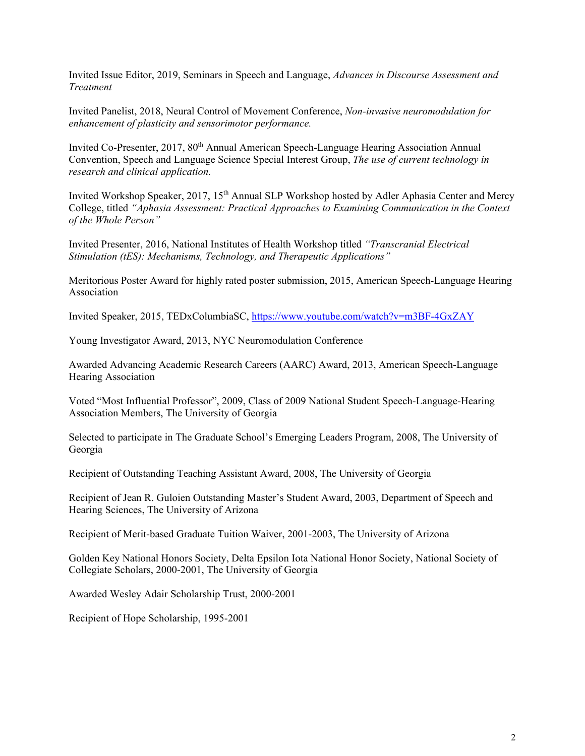Invited Issue Editor, 2019, Seminars in Speech and Language, *Advances in Discourse Assessment and Treatment*

Invited Panelist, 2018, Neural Control of Movement Conference, *Non-invasive neuromodulation for enhancement of plasticity and sensorimotor performance.*

Invited Co-Presenter, 2017, 80<sup>th</sup> Annual American Speech-Language Hearing Association Annual Convention, Speech and Language Science Special Interest Group, *The use of current technology in research and clinical application.*

Invited Workshop Speaker, 2017, 15<sup>th</sup> Annual SLP Workshop hosted by Adler Aphasia Center and Mercy College, titled *"Aphasia Assessment: Practical Approaches to Examining Communication in the Context of the Whole Person"*

Invited Presenter, 2016, National Institutes of Health Workshop titled *"Transcranial Electrical Stimulation (tES): Mechanisms, Technology, and Therapeutic Applications"*

Meritorious Poster Award for highly rated poster submission, 2015, American Speech-Language Hearing Association

Invited Speaker, 2015, TEDxColumbiaSC,<https://www.youtube.com/watch?v=m3BF-4GxZAY>

Young Investigator Award, 2013, NYC Neuromodulation Conference

Awarded Advancing Academic Research Careers (AARC) Award, 2013, American Speech-Language Hearing Association

Voted "Most Influential Professor", 2009, Class of 2009 National Student Speech-Language-Hearing Association Members, The University of Georgia

Selected to participate in The Graduate School's Emerging Leaders Program, 2008, The University of Georgia

Recipient of Outstanding Teaching Assistant Award, 2008, The University of Georgia

Recipient of Jean R. Guloien Outstanding Master's Student Award, 2003, Department of Speech and Hearing Sciences, The University of Arizona

Recipient of Merit-based Graduate Tuition Waiver, 2001-2003, The University of Arizona

Golden Key National Honors Society, Delta Epsilon Iota National Honor Society, National Society of Collegiate Scholars, 2000-2001, The University of Georgia

Awarded Wesley Adair Scholarship Trust, 2000-2001

Recipient of Hope Scholarship, 1995-2001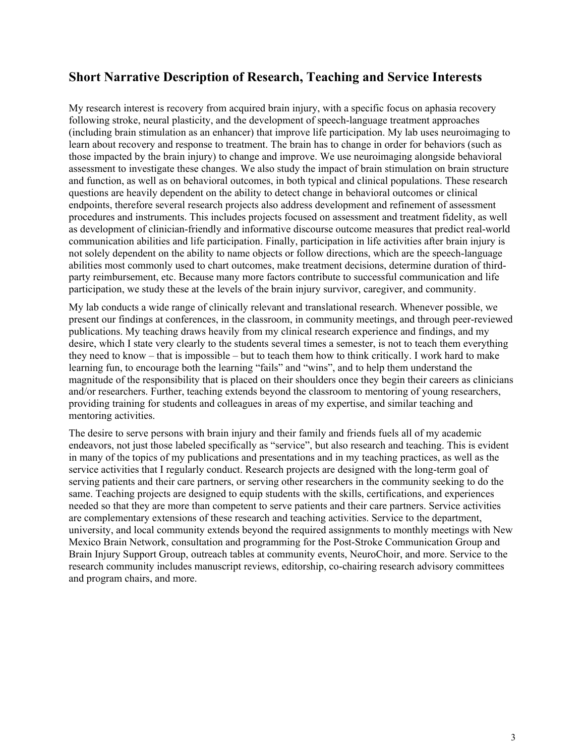## **Short Narrative Description of Research, Teaching and Service Interests**

My research interest is recovery from acquired brain injury, with a specific focus on aphasia recovery following stroke, neural plasticity, and the development of speech-language treatment approaches (including brain stimulation as an enhancer) that improve life participation. My lab uses neuroimaging to learn about recovery and response to treatment. The brain has to change in order for behaviors (such as those impacted by the brain injury) to change and improve. We use neuroimaging alongside behavioral assessment to investigate these changes. We also study the impact of brain stimulation on brain structure and function, as well as on behavioral outcomes, in both typical and clinical populations. These research questions are heavily dependent on the ability to detect change in behavioral outcomes or clinical endpoints, therefore several research projects also address development and refinement of assessment procedures and instruments. This includes projects focused on assessment and treatment fidelity, as well as development of clinician-friendly and informative discourse outcome measures that predict real-world communication abilities and life participation. Finally, participation in life activities after brain injury is not solely dependent on the ability to name objects or follow directions, which are the speech-language abilities most commonly used to chart outcomes, make treatment decisions, determine duration of thirdparty reimbursement, etc. Because many more factors contribute to successful communication and life participation, we study these at the levels of the brain injury survivor, caregiver, and community.

My lab conducts a wide range of clinically relevant and translational research. Whenever possible, we present our findings at conferences, in the classroom, in community meetings, and through peer-reviewed publications. My teaching draws heavily from my clinical research experience and findings, and my desire, which I state very clearly to the students several times a semester, is not to teach them everything they need to know – that is impossible – but to teach them how to think critically. I work hard to make learning fun, to encourage both the learning "fails" and "wins", and to help them understand the magnitude of the responsibility that is placed on their shoulders once they begin their careers as clinicians and/or researchers. Further, teaching extends beyond the classroom to mentoring of young researchers, providing training for students and colleagues in areas of my expertise, and similar teaching and mentoring activities.

The desire to serve persons with brain injury and their family and friends fuels all of my academic endeavors, not just those labeled specifically as "service", but also research and teaching. This is evident in many of the topics of my publications and presentations and in my teaching practices, as well as the service activities that I regularly conduct. Research projects are designed with the long-term goal of serving patients and their care partners, or serving other researchers in the community seeking to do the same. Teaching projects are designed to equip students with the skills, certifications, and experiences needed so that they are more than competent to serve patients and their care partners. Service activities are complementary extensions of these research and teaching activities. Service to the department, university, and local community extends beyond the required assignments to monthly meetings with New Mexico Brain Network, consultation and programming for the Post-Stroke Communication Group and Brain Injury Support Group, outreach tables at community events, NeuroChoir, and more. Service to the research community includes manuscript reviews, editorship, co-chairing research advisory committees and program chairs, and more.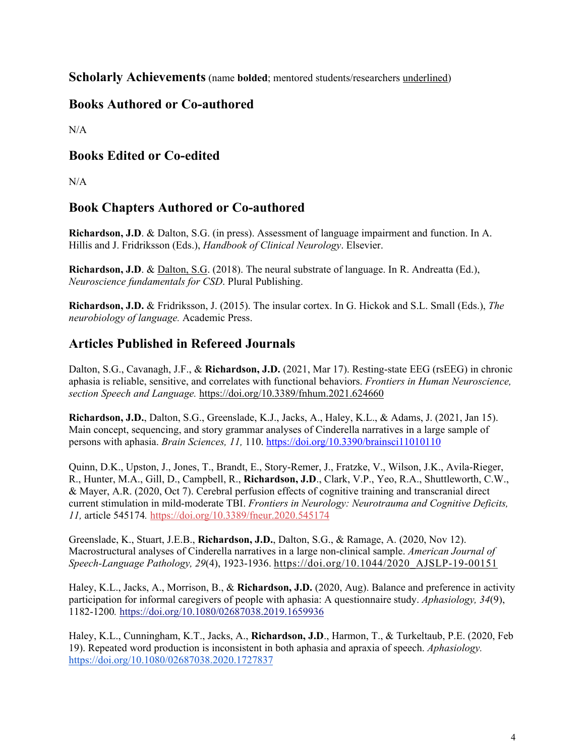**Scholarly Achievements** (name **bolded**; mentored students/researchers underlined)

## **Books Authored or Co-authored**

 $N/A$ 

## **Books Edited or Co-edited**

 $N/A$ 

### **Book Chapters Authored or Co-authored**

**Richardson, J.D**. & Dalton, S.G. (in press). Assessment of language impairment and function. In A. Hillis and J. Fridriksson (Eds.), *Handbook of Clinical Neurology*. Elsevier.

**Richardson, J.D**. & Dalton, S.G. (2018). The neural substrate of language. In R. Andreatta (Ed.), *Neuroscience fundamentals for CSD*. Plural Publishing.

**Richardson, J.D.** & Fridriksson, J. (2015). The insular cortex. In G. Hickok and S.L. Small (Eds.), *The neurobiology of language.* Academic Press.

### **Articles Published in Refereed Journals**

Dalton, S.G., Cavanagh, J.F., & **Richardson, J.D.** (2021, Mar 17). Resting-state EEG (rsEEG) in chronic aphasia is reliable, sensitive, and correlates with functional behaviors. *Frontiers in Human Neuroscience, section Speech and Language.* <https://doi.org/10.3389/fnhum.2021.624660>

**Richardson, J.D.**, Dalton, S.G., Greenslade, K.J., Jacks, A., Haley, K.L., & Adams, J. (2021, Jan 15). Main concept, sequencing, and story grammar analyses of Cinderella narratives in a large sample of persons with aphasia. *Brain Sciences, 11,* 110. <https://doi.org/10.3390/brainsci11010110>

Quinn, D.K., Upston, J., Jones, T., Brandt, E., Story-Remer, J., Fratzke, V., Wilson, J.K., Avila-Rieger, R., Hunter, M.A., Gill, D., Campbell, R., **Richardson, J.D**., Clark, V.P., Yeo, R.A., Shuttleworth, C.W., & Mayer, A.R. (2020, Oct 7). Cerebral perfusion effects of cognitive training and transcranial direct current stimulation in mild-moderate TBI. *Frontiers in Neurology: Neurotrauma and Cognitive Deficits, 11,* article 545174*.* <https://doi.org/10.3389/fneur.2020.545174>

Greenslade, K., Stuart, J.E.B., **Richardson, J.D.**, Dalton, S.G., & Ramage, A. (2020, Nov 12). Macrostructural analyses of Cinderella narratives in a large non-clinical sample. *American Journal of Speech-Language Pathology, 29*(4), 1923-1936. [https://doi.org/10.1044/2020\\_AJSLP-19-00151](https://doi.org/10.1044/2020_AJSLP-19-00151)

Haley, K.L., Jacks, A., Morrison, B., & **Richardson, J.D.** (2020, Aug). Balance and preference in activity participation for informal caregivers of people with aphasia: A questionnaire study. *Aphasiology, 34*(9), 1182-1200*.* <https://doi.org/10.1080/02687038.2019.1659936>

Haley, K.L., Cunningham, K.T., Jacks, A., **Richardson, J.D**., Harmon, T., & Turkeltaub, P.E. (2020, Feb 19). Repeated word production is inconsistent in both aphasia and apraxia of speech. *Aphasiology.* <https://doi.org/10.1080/02687038.2020.1727837>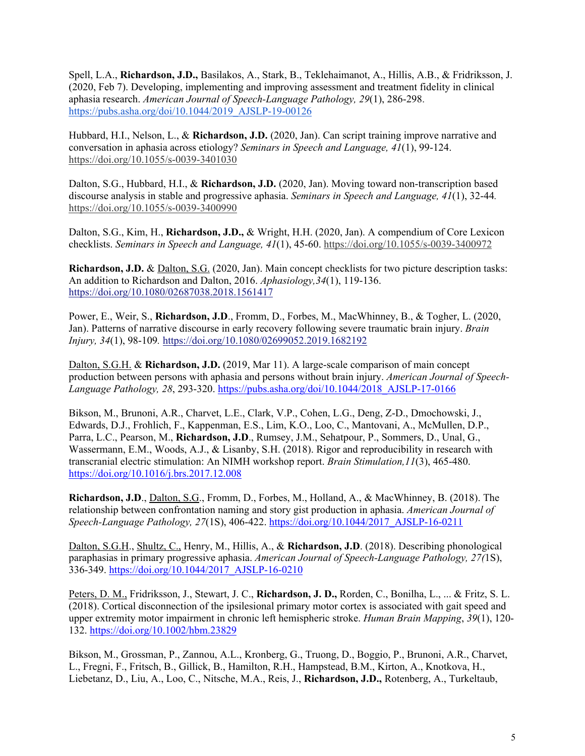Spell, L.A., **Richardson, J.D.,** Basilakos, A., Stark, B., Teklehaimanot, A., Hillis, A.B., & Fridriksson, J. (2020, Feb 7). Developing, implementing and improving assessment and treatment fidelity in clinical aphasia research. *American Journal of Speech-Language Pathology, 29*(1), 286-298. [https://pubs.asha.org/doi/10.1044/2019\\_AJSLP-19-00126](https://pubs.asha.org/doi/10.1044/2019_AJSLP-19-00126)

Hubbard, H.I., Nelson, L., & **Richardson, J.D.** (2020, Jan). Can script training improve narrative and conversation in aphasia across etiology? *Seminars in Speech and Language, 41*(1), 99-124. <https://doi.org/10.1055/s-0039-3401030>

Dalton, S.G., Hubbard, H.I., & **Richardson, J.D.** (2020, Jan). Moving toward non-transcription based discourse analysis in stable and progressive aphasia. *Seminars in Speech and Language, 41*(1), 32-44*.* <https://doi.org/10.1055/s-0039-3400990>

Dalton, S.G., Kim, H., **Richardson, J.D.,** & Wright, H.H. (2020, Jan). A compendium of Core Lexicon checklists. *Seminars in Speech and Language, 41*(1), 45-60.<https://doi.org/10.1055/s-0039-3400972>

**Richardson, J.D.** & Dalton, S.G. (2020, Jan). Main concept checklists for two picture description tasks: An addition to Richardson and Dalton, 2016. *Aphasiology,34*(1), 119-136. <https://doi.org/10.1080/02687038.2018.1561417>

Power, E., Weir, S., **Richardson, J.D**., Fromm, D., Forbes, M., MacWhinney, B., & Togher, L. (2020, Jan). Patterns of narrative discourse in early recovery following severe traumatic brain injury. *Brain Injury, 34*(1), 98-109*.* <https://doi.org/10.1080/02699052.2019.1682192>

Dalton, S.G.H. & **Richardson, J.D.** (2019, Mar 11). A large-scale comparison of main concept production between persons with aphasia and persons without brain injury. *American Journal of Speech-Language Pathology, 28*, 293-320. [https://pubs.asha.org/doi/10.1044/2018\\_AJSLP-17-0166](https://pubs.asha.org/doi/10.1044/2018_AJSLP-17-0166)

Bikson, M., Brunoni, A.R., Charvet, L.E., Clark, V.P., Cohen, L.G., Deng, Z-D., Dmochowski, J., Edwards, D.J., Frohlich, F., Kappenman, E.S., Lim, K.O., Loo, C., Mantovani, A., McMullen, D.P., Parra, L.C., Pearson, M., **Richardson, J.D**., Rumsey, J.M., Sehatpour, P., Sommers, D., Unal, G., Wassermann, E.M., Woods, A.J., & Lisanby, S.H. (2018). Rigor and reproducibility in research with transcranial electric stimulation: An NIMH workshop report. *Brain Stimulation,11*(3), 465-480. <https://doi.org/10.1016/j.brs.2017.12.008>

**Richardson, J.D**., Dalton, S.G., Fromm, D., Forbes, M., Holland, A., & MacWhinney, B. (2018). The relationship between confrontation naming and story gist production in aphasia. *American Journal of Speech-Language Pathology, 27*(1S), 406-422. [https://doi.org/10.1044/2017\\_AJSLP-16-0211](https://doi.org/10.1044/2017_AJSLP-16-0211)

Dalton, S.G.H., Shultz, C., Henry, M., Hillis, A., & **Richardson, J.D**. (2018). Describing phonological paraphasias in primary progressive aphasia. *American Journal of Speech-Language Pathology, 27(*1S), 336-349. [https://doi.org/10.1044/2017\\_AJSLP-16-0210](https://doi.org/10.1044/2017_AJSLP-16-0210)

Peters, D. M., Fridriksson, J., Stewart, J. C., **Richardson, J. D.,** Rorden, C., Bonilha, L., ... & Fritz, S. L. (2018). Cortical disconnection of the ipsilesional primary motor cortex is associated with gait speed and upper extremity motor impairment in chronic left hemispheric stroke. *Human Brain Mapping*, *39*(1), 120- 132. <https://doi.org/10.1002/hbm.23829>

Bikson, M., Grossman, P., Zannou, A.L., Kronberg, G., Truong, D., Boggio, P., Brunoni, A.R., Charvet, L., Fregni, F., Fritsch, B., Gillick, B., Hamilton, R.H., Hampstead, B.M., Kirton, A., Knotkova, H., Liebetanz, D., Liu, A., Loo, C., Nitsche, M.A., Reis, J., **Richardson, J.D.,** Rotenberg, A., Turkeltaub,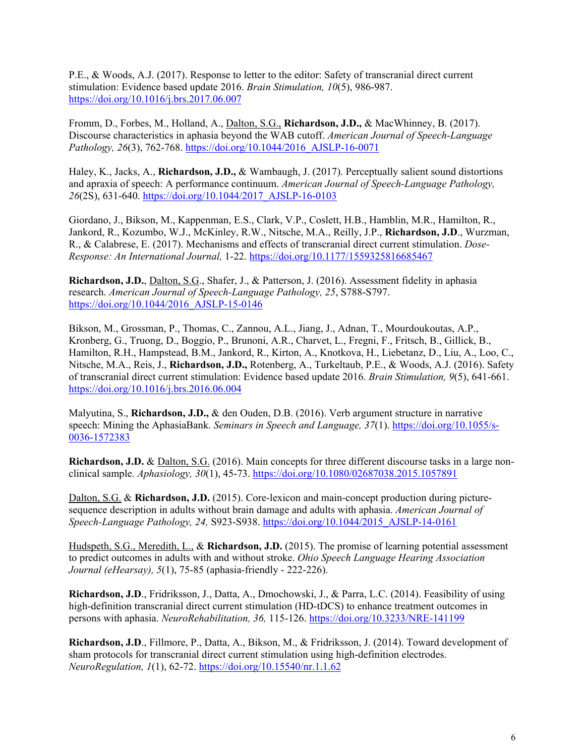P.E., & Woods, A.J. (2017). Response to letter to the editor: Safety of transcranial direct current stimulation: Evidence based update 2016. *Brain Stimulation, 10*(5), 986-987. <https://doi.org/10.1016/j.brs.2017.06.007>

Fromm, D., Forbes, M., Holland, A., Dalton, S.G., **Richardson, J.D.,** & MacWhinney, B. (2017). Discourse characteristics in aphasia beyond the WAB cutoff. *American Journal of Speech-Language Pathology, 26*(3), 762-768. [https://doi.org/10.1044/2016\\_AJSLP-16-0071](https://doi.org/10.1044/2016_AJSLP-16-0071)

Haley, K., Jacks, A., **Richardson, J.D.,** & Wambaugh, J. (2017). Perceptually salient sound distortions and apraxia of speech: A performance continuum. *American Journal of Speech-Language Pathology, 26*(2S), 631-640. [https://doi.org/10.1044/2017\\_AJSLP-16-0103](https://doi.org/10.1044/2017_AJSLP-16-0103)

Giordano, J., Bikson, M., Kappenman, E.S., Clark, V.P., Coslett, H.B., Hamblin, M.R., Hamilton, R., Jankord, R., Kozumbo, W.J., McKinley, R.W., Nitsche, M.A., Reilly, J.P., **Richardson, J.D**., Wurzman, R., & Calabrese, E. (2017). Mechanisms and effects of transcranial direct current stimulation. *Dose-Response: An International Journal,* 1-22.<https://doi.org/10.1177/1559325816685467>

**Richardson, J.D.**, Dalton, S.G., Shafer, J., & Patterson, J. (2016). Assessment fidelity in aphasia research. *American Journal of Speech-Language Pathology, 25*, S788-S797. [https://doi.org/10.1044/2016\\_AJSLP-15-0146](https://doi.org/10.1044/2016_AJSLP-15-0146)

Bikson, M., Grossman, P., Thomas, C., Zannou, A.L., Jiang, J., Adnan, T., Mourdoukoutas, A.P., Kronberg, G., Truong, D., Boggio, P., Brunoni, A.R., Charvet, L., Fregni, F., Fritsch, B., Gillick, B., Hamilton, R.H., Hampstead, B.M., Jankord, R., Kirton, A., Knotkova, H., Liebetanz, D., Liu, A., Loo, C., Nitsche, M.A., Reis, J., **Richardson, J.D.,** Rotenberg, A., Turkeltaub, P.E., & Woods, A.J. (2016). Safety of transcranial direct current stimulation: Evidence based update 2016. *Brain Stimulation, 9*(5), 641-661. <https://doi.org/10.1016/j.brs.2016.06.004>

Malyutina, S., **Richardson, J.D.,** & den Ouden, D.B. (2016). Verb argument structure in narrative speech: Mining the AphasiaBank. *Seminars in Speech and Language, 37*(1). [https://doi.org/10.1055/s-](https://doi.org/10.1055/s-0036-1572383)[0036-1572383](https://doi.org/10.1055/s-0036-1572383)

**Richardson, J.D.** & Dalton, S.G. (2016). Main concepts for three different discourse tasks in a large nonclinical sample. *Aphasiology, 30*(1), 45-73. <https://doi.org/10.1080/02687038.2015.1057891>

Dalton, S.G. & **Richardson, J.D.** (2015). Core-lexicon and main-concept production during picturesequence description in adults without brain damage and adults with aphasia. *American Journal of Speech-Language Pathology, 24,* S923-S938. [https://doi.org/10.1044/2015\\_AJSLP-14-0161](https://doi.org/10.1044/2015_AJSLP-14-0161)

Hudspeth, S.G., Meredith, L., & **Richardson, J.D.** (2015). The promise of learning potential assessment to predict outcomes in adults with and without stroke. *Ohio Speech Language Hearing Association Journal (eHearsay), 5*(1), 75-85 (aphasia-friendly - 222-226).

**Richardson, J.D**., Fridriksson, J., Datta, A., Dmochowski, J., & Parra, L.C. (2014). Feasibility of using high-definition transcranial direct current stimulation (HD-tDCS) to enhance treatment outcomes in persons with aphasia. *NeuroRehabilitation, 36,* 115-126. <https://doi.org/10.3233/NRE-141199>

**Richardson, J.D**., Fillmore, P., Datta, A., Bikson, M., & Fridriksson, J. (2014). Toward development of sham protocols for transcranial direct current stimulation using high-definition electrodes. *NeuroRegulation, 1*(1), 62-72. <https://doi.org/10.15540/nr.1.1.62>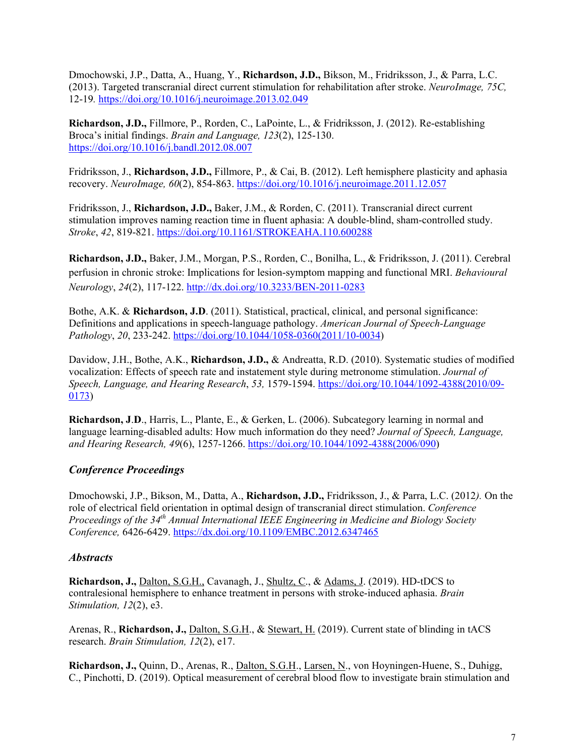Dmochowski, J.P., Datta, A., Huang, Y., **Richardson, J.D.,** Bikson, M., Fridriksson, J., & Parra, L.C. (2013). Targeted transcranial direct current stimulation for rehabilitation after stroke. *NeuroImage, 75C,*  12-19*.* <https://doi.org/10.1016/j.neuroimage.2013.02.049>

**Richardson, J.D.,** Fillmore, P., Rorden, C., LaPointe, L., & Fridriksson, J. (2012). Re-establishing Broca's initial findings. *Brain and Language, 123*(2), 125-130. <https://doi.org/10.1016/j.bandl.2012.08.007>

Fridriksson, J., **Richardson, J.D.,** Fillmore, P., & Cai, B. (2012). Left hemisphere plasticity and aphasia recovery. *NeuroImage, 60*(2), 854-863. <https://doi.org/10.1016/j.neuroimage.2011.12.057>

Fridriksson, J., **Richardson, J.D.,** Baker, J.M., & Rorden, C. (2011). Transcranial direct current stimulation improves naming reaction time in fluent aphasia: A double-blind, sham-controlled study. *Stroke*, *42*, 819-821. <https://doi.org/10.1161/STROKEAHA.110.600288>

**Richardson, J.D.,** Baker, J.M., Morgan, P.S., Rorden, C., Bonilha, L., & Fridriksson, J. (2011). Cerebral perfusion in chronic stroke: Implications for lesion-symptom mapping and functional MRI. *Behavioural Neurology*, *24*(2), 117-122. <http://dx.doi.org/10.3233/BEN-2011-0283>

Bothe, A.K. & **Richardson, J.D**. (2011). Statistical, practical, clinical, and personal significance: Definitions and applications in speech-language pathology. *American Journal of Speech-Language Pathology*, *20*, 233-242. [https://doi.org/10.1044/1058-0360\(2011/10-0034\)](https://doi.org/10.1044/1058-0360(2011/10-0034)

Davidow, J.H., Bothe, A.K., **Richardson, J.D.,** & Andreatta, R.D. (2010). Systematic studies of modified vocalization: Effects of speech rate and instatement style during metronome stimulation. *Journal of Speech, Language, and Hearing Research*, *53,* 1579-1594. [https://doi.org/10.1044/1092-4388\(2010/09-](https://doi.org/10.1044/1092-4388(2010/09-0173) [0173\)](https://doi.org/10.1044/1092-4388(2010/09-0173)

**Richardson, J**.**D**., Harris, L., Plante, E., & Gerken, L. (2006). Subcategory learning in normal and language learning-disabled adults: How much information do they need? *Journal of Speech, Language, and Hearing Research, 49*(6), 1257-1266. [https://doi.org/10.1044/1092-4388\(2006/090\)](https://doi.org/10.1044/1092-4388(2006/090)

### *Conference Proceedings*

Dmochowski, J.P., Bikson, M., Datta, A., **Richardson, J.D.,** Fridriksson, J., & Parra, L.C. (2012*).* On the role of electrical field orientation in optimal design of transcranial direct stimulation. *Conference Proceedings of the 34th Annual International IEEE Engineering in Medicine and Biology Society Conference,* 6426-6429. <https://dx.doi.org/10.1109/EMBC.2012.6347465>

#### *Abstracts*

**Richardson, J.,** Dalton, S.G.H., Cavanagh, J., Shultz, C., & Adams, J. (2019). HD-tDCS to contralesional hemisphere to enhance treatment in persons with stroke-induced aphasia. *Brain Stimulation, 12*(2), e3.

Arenas, R., **Richardson, J.,** Dalton, S.G.H., & Stewart, H. (2019). Current state of blinding in tACS research. *Brain Stimulation, 12*(2), e17.

**Richardson, J.,** Quinn, D., Arenas, R., Dalton, S.G.H., Larsen, N., von Hoyningen-Huene, S., Duhigg, C., Pinchotti, D. (2019). Optical measurement of cerebral blood flow to investigate brain stimulation and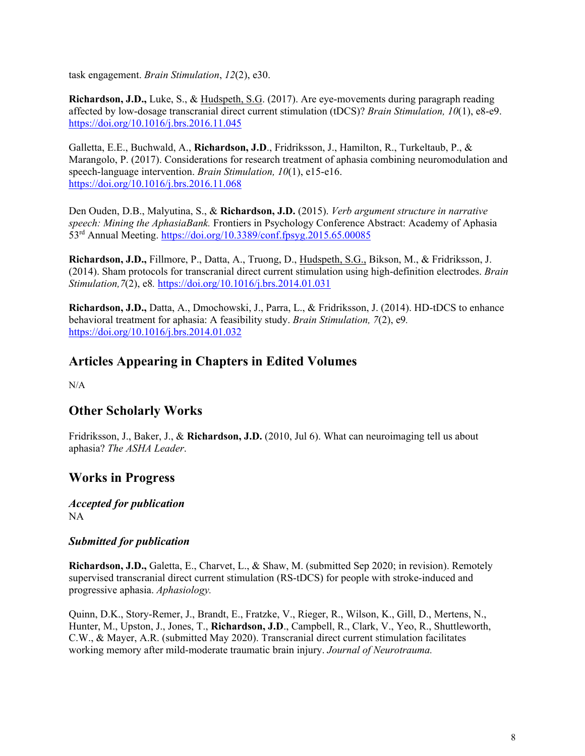task engagement. *Brain Stimulation*, *12*(2), e30.

**Richardson, J.D.,** Luke, S., & Hudspeth, S.G. (2017). Are eye-movements during paragraph reading affected by low-dosage transcranial direct current stimulation (tDCS)? *Brain Stimulation, 10*(1), e8-e9. <https://doi.org/10.1016/j.brs.2016.11.045>

Galletta, E.E., Buchwald, A., **Richardson, J.D**., Fridriksson, J., Hamilton, R., Turkeltaub, P., & Marangolo, P. (2017). Considerations for research treatment of aphasia combining neuromodulation and speech-language intervention. *Brain Stimulation, 10*(1), e15-e16. <https://doi.org/10.1016/j.brs.2016.11.068>

Den Ouden, D.B., Malyutina, S., & **Richardson, J.D.** (2015). *Verb argument structure in narrative speech: Mining the AphasiaBank.* Frontiers in Psychology Conference Abstract: Academy of Aphasia 53rd Annual Meeting. <https://doi.org/10.3389/conf.fpsyg.2015.65.00085>

**Richardson, J.D.,** Fillmore, P., Datta, A., Truong, D., Hudspeth, S.G., Bikson, M., & Fridriksson, J. (2014). Sham protocols for transcranial direct current stimulation using high-definition electrodes. *Brain Stimulation,7*(2), e8*.* <https://doi.org/10.1016/j.brs.2014.01.031>

**Richardson, J.D.,** Datta, A., Dmochowski, J., Parra, L., & Fridriksson, J. (2014). HD-tDCS to enhance behavioral treatment for aphasia: A feasibility study. *Brain Stimulation, 7*(2), e9*.* <https://doi.org/10.1016/j.brs.2014.01.032>

# **Articles Appearing in Chapters in Edited Volumes**

 $N/A$ 

# **Other Scholarly Works**

Fridriksson, J., Baker, J., & **Richardson, J.D.** (2010, Jul 6). What can neuroimaging tell us about aphasia? *The ASHA Leader*.

# **Works in Progress**

*Accepted for publication* NA

#### *Submitted for publication*

**Richardson, J.D.,** Galetta, E., Charvet, L., & Shaw, M. (submitted Sep 2020; in revision). Remotely supervised transcranial direct current stimulation (RS-tDCS) for people with stroke-induced and progressive aphasia. *Aphasiology.*

Quinn, D.K., Story-Remer, J., Brandt, E., Fratzke, V., Rieger, R., Wilson, K., Gill, D., Mertens, N., Hunter, M., Upston, J., Jones, T., **Richardson, J.D**., Campbell, R., Clark, V., Yeo, R., Shuttleworth, C.W., & Mayer, A.R. (submitted May 2020). Transcranial direct current stimulation facilitates working memory after mild-moderate traumatic brain injury. *Journal of Neurotrauma.*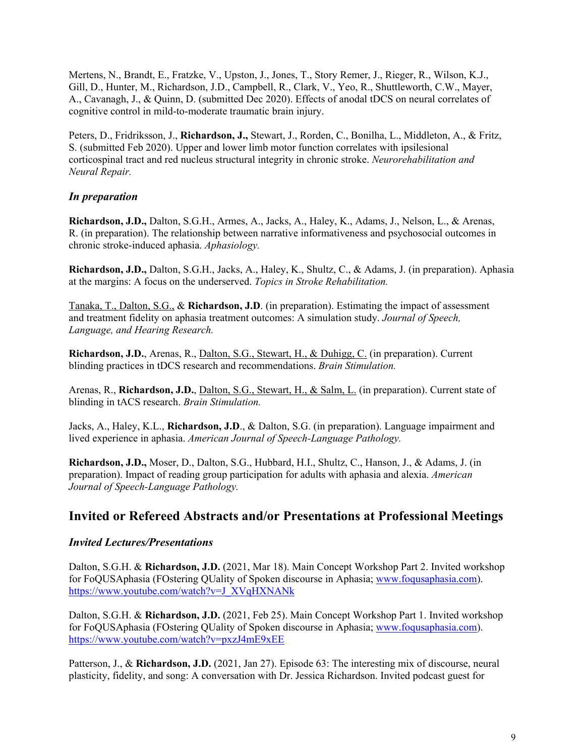Mertens, N., Brandt, E., Fratzke, V., Upston, J., Jones, T., Story Remer, J., Rieger, R., Wilson, K.J., Gill, D., Hunter, M., Richardson, J.D., Campbell, R., Clark, V., Yeo, R., Shuttleworth, C.W., Mayer, A., Cavanagh, J., & Quinn, D. (submitted Dec 2020). Effects of anodal tDCS on neural correlates of cognitive control in mild-to-moderate traumatic brain injury.

Peters, D., Fridriksson, J., **Richardson, J.,** Stewart, J., Rorden, C., Bonilha, L., Middleton, A., & Fritz, S. (submitted Feb 2020). Upper and lower limb motor function correlates with ipsilesional corticospinal tract and red nucleus structural integrity in chronic stroke. *Neurorehabilitation and Neural Repair.* 

### *In preparation*

**Richardson, J.D.,** Dalton, S.G.H., Armes, A., Jacks, A., Haley, K., Adams, J., Nelson, L., & Arenas, R. (in preparation). The relationship between narrative informativeness and psychosocial outcomes in chronic stroke-induced aphasia. *Aphasiology.*

**Richardson, J.D.,** Dalton, S.G.H., Jacks, A., Haley, K., Shultz, C., & Adams, J. (in preparation). Aphasia at the margins: A focus on the underserved. *Topics in Stroke Rehabilitation.*

Tanaka, T., Dalton, S.G., & **Richardson, J.D**. (in preparation). Estimating the impact of assessment and treatment fidelity on aphasia treatment outcomes: A simulation study. *Journal of Speech, Language, and Hearing Research.* 

**Richardson, J.D.**, Arenas, R., Dalton, S.G., Stewart, H., & Duhigg, C. (in preparation). Current blinding practices in tDCS research and recommendations. *Brain Stimulation.*

Arenas, R., **Richardson, J.D.**, Dalton, S.G., Stewart, H., & Salm, L. (in preparation). Current state of blinding in tACS research. *Brain Stimulation.*

Jacks, A., Haley, K.L., **Richardson, J.D**., & Dalton, S.G. (in preparation). Language impairment and lived experience in aphasia. *American Journal of Speech-Language Pathology.* 

**Richardson, J.D.,** Moser, D., Dalton, S.G., Hubbard, H.I., Shultz, C., Hanson, J., & Adams, J. (in preparation). Impact of reading group participation for adults with aphasia and alexia. *American Journal of Speech-Language Pathology.*

### **Invited or Refereed Abstracts and/or Presentations at Professional Meetings**

#### *Invited Lectures/Presentations*

Dalton, S.G.H. & **Richardson, J.D.** (2021, Mar 18). Main Concept Workshop Part 2. Invited workshop for FoQUSAphasia (FOstering QUality of Spoken discourse in Aphasia; [www.foqusaphasia.com\)](http://www.foqusaphasia.com/). [https://www.youtube.com/watch?v=J\\_XVqHXNANk](https://www.youtube.com/watch?v=J_XVqHXNANk)

Dalton, S.G.H. & **Richardson, J.D.** (2021, Feb 25). Main Concept Workshop Part 1. Invited workshop for FoQUSAphasia (FOstering QUality of Spoken discourse in Aphasia; [www.foqusaphasia.com\)](http://www.foqusaphasia.com/). <https://www.youtube.com/watch?v=pxzJ4mE9xEE>

Patterson, J., & **Richardson, J.D.** (2021, Jan 27). Episode 63: The interesting mix of discourse, neural plasticity, fidelity, and song: A conversation with Dr. Jessica Richardson. Invited podcast guest for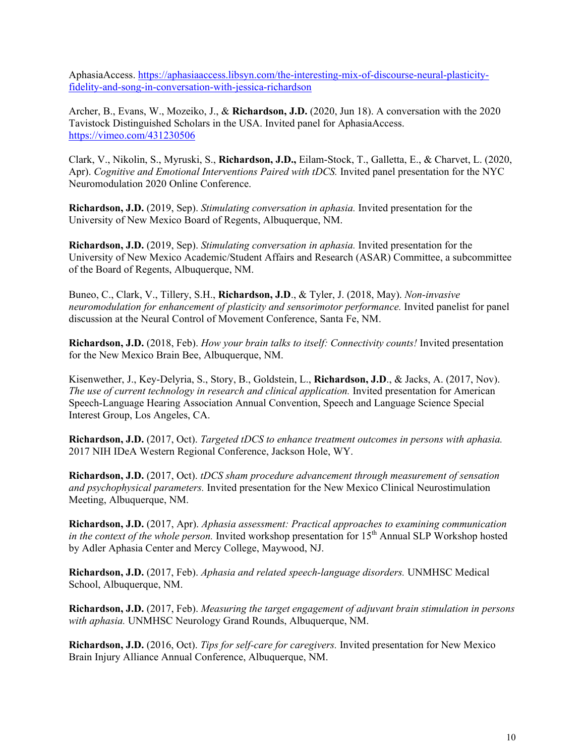AphasiaAccess. [https://aphasiaaccess.libsyn.com/the-interesting-mix-of-discourse-neural-plasticity](https://aphasiaaccess.libsyn.com/the-interesting-mix-of-discourse-neural-plasticity-fidelity-and-song-in-conversation-with-jessica-richardson)[fidelity-and-song-in-conversation-with-jessica-richardson](https://aphasiaaccess.libsyn.com/the-interesting-mix-of-discourse-neural-plasticity-fidelity-and-song-in-conversation-with-jessica-richardson)

Archer, B., Evans, W., Mozeiko, J., & **Richardson, J.D.** (2020, Jun 18). A conversation with the 2020 Tavistock Distinguished Scholars in the USA. Invited panel for AphasiaAccess. <https://vimeo.com/431230506>

Clark, V., Nikolin, S., Myruski, S., **Richardson, J.D.,** Eilam-Stock, T., Galletta, E., & Charvet, L. (2020, Apr). *Cognitive and Emotional Interventions Paired with tDCS.* Invited panel presentation for the NYC Neuromodulation 2020 Online Conference.

**Richardson, J.D.** (2019, Sep). *Stimulating conversation in aphasia.* Invited presentation for the University of New Mexico Board of Regents, Albuquerque, NM.

**Richardson, J.D.** (2019, Sep). *Stimulating conversation in aphasia.* Invited presentation for the University of New Mexico Academic/Student Affairs and Research (ASAR) Committee, a subcommittee of the Board of Regents, Albuquerque, NM.

Buneo, C., Clark, V., Tillery, S.H., **Richardson, J.D**., & Tyler, J. (2018, May). *Non-invasive neuromodulation for enhancement of plasticity and sensorimotor performance.* Invited panelist for panel discussion at the Neural Control of Movement Conference, Santa Fe, NM.

**Richardson, J.D.** (2018, Feb). *How your brain talks to itself: Connectivity counts!* Invited presentation for the New Mexico Brain Bee, Albuquerque, NM.

Kisenwether, J., Key-Delyria, S., Story, B., Goldstein, L., **Richardson, J.D**., & Jacks, A. (2017, Nov). *The use of current technology in research and clinical application.* Invited presentation for American Speech-Language Hearing Association Annual Convention, Speech and Language Science Special Interest Group, Los Angeles, CA.

**Richardson, J.D.** (2017, Oct). *Targeted tDCS to enhance treatment outcomes in persons with aphasia.*  2017 NIH IDeA Western Regional Conference, Jackson Hole, WY.

**Richardson, J.D.** (2017, Oct). *tDCS sham procedure advancement through measurement of sensation and psychophysical parameters.* Invited presentation for the New Mexico Clinical Neurostimulation Meeting, Albuquerque, NM.

**Richardson, J.D.** (2017, Apr). *Aphasia assessment: Practical approaches to examining communication in the context of the whole person.* Invited workshop presentation for 15<sup>th</sup> Annual SLP Workshop hosted by Adler Aphasia Center and Mercy College, Maywood, NJ.

**Richardson, J.D.** (2017, Feb). *Aphasia and related speech-language disorders.* UNMHSC Medical School, Albuquerque, NM.

**Richardson, J.D.** (2017, Feb). *Measuring the target engagement of adjuvant brain stimulation in persons with aphasia.* UNMHSC Neurology Grand Rounds, Albuquerque, NM.

**Richardson, J.D.** (2016, Oct). *Tips for self-care for caregivers.* Invited presentation for New Mexico Brain Injury Alliance Annual Conference, Albuquerque, NM.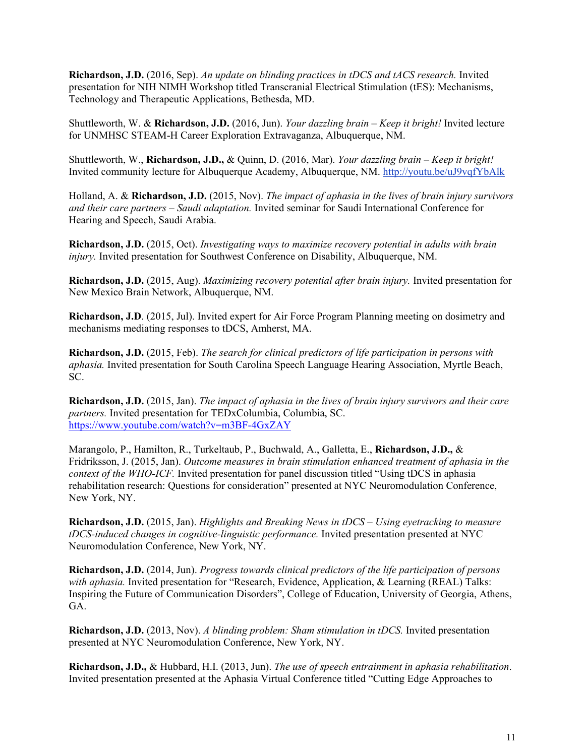**Richardson, J.D.** (2016, Sep). *An update on blinding practices in tDCS and tACS research.* Invited presentation for NIH NIMH Workshop titled Transcranial Electrical Stimulation (tES): Mechanisms, Technology and Therapeutic Applications, Bethesda, MD.

Shuttleworth, W. & **Richardson, J.D.** (2016, Jun). *Your dazzling brain – Keep it bright!* Invited lecture for UNMHSC STEAM-H Career Exploration Extravaganza, Albuquerque, NM.

Shuttleworth, W., **Richardson, J.D.,** & Quinn, D. (2016, Mar). *Your dazzling brain – Keep it bright!* Invited community lecture for Albuquerque Academy, Albuquerque, NM. http://youtu.be/uJ9vqfYbAlk

Holland, A. & **Richardson, J.D.** (2015, Nov). *The impact of aphasia in the lives of brain injury survivors and their care partners – Saudi adaptation.* Invited seminar for Saudi International Conference for Hearing and Speech, Saudi Arabia.

**Richardson, J.D.** (2015, Oct). *Investigating ways to maximize recovery potential in adults with brain injury*. Invited presentation for Southwest Conference on Disability, Albuquerque, NM.

**Richardson, J.D.** (2015, Aug). *Maximizing recovery potential after brain injury.* Invited presentation for New Mexico Brain Network, Albuquerque, NM.

**Richardson, J.D**. (2015, Jul). Invited expert for Air Force Program Planning meeting on dosimetry and mechanisms mediating responses to tDCS, Amherst, MA.

**Richardson, J.D.** (2015, Feb). *The search for clinical predictors of life participation in persons with aphasia.* Invited presentation for South Carolina Speech Language Hearing Association, Myrtle Beach, SC.

**Richardson, J.D.** (2015, Jan). *The impact of aphasia in the lives of brain injury survivors and their care partners.* Invited presentation for TEDxColumbia, Columbia, SC. <https://www.youtube.com/watch?v=m3BF-4GxZAY>

Marangolo, P., Hamilton, R., Turkeltaub, P., Buchwald, A., Galletta, E., **Richardson, J.D.,** & Fridriksson, J. (2015, Jan). *Outcome measures in brain stimulation enhanced treatment of aphasia in the context of the WHO-ICF.* Invited presentation for panel discussion titled "Using tDCS in aphasia rehabilitation research: Questions for consideration" presented at NYC Neuromodulation Conference, New York, NY.

**Richardson, J.D.** (2015, Jan). *Highlights and Breaking News in tDCS – Using eyetracking to measure tDCS-induced changes in cognitive-linguistic performance.* Invited presentation presented at NYC Neuromodulation Conference, New York, NY.

**Richardson, J.D.** (2014, Jun). *Progress towards clinical predictors of the life participation of persons with aphasia.* Invited presentation for "Research, Evidence, Application, & Learning (REAL) Talks: Inspiring the Future of Communication Disorders", College of Education, University of Georgia, Athens, GA.

**Richardson, J.D.** (2013, Nov). *A blinding problem: Sham stimulation in tDCS.* Invited presentation presented at NYC Neuromodulation Conference, New York, NY.

**Richardson, J.D.,** & Hubbard, H.I. (2013, Jun). *The use of speech entrainment in aphasia rehabilitation*. Invited presentation presented at the Aphasia Virtual Conference titled "Cutting Edge Approaches to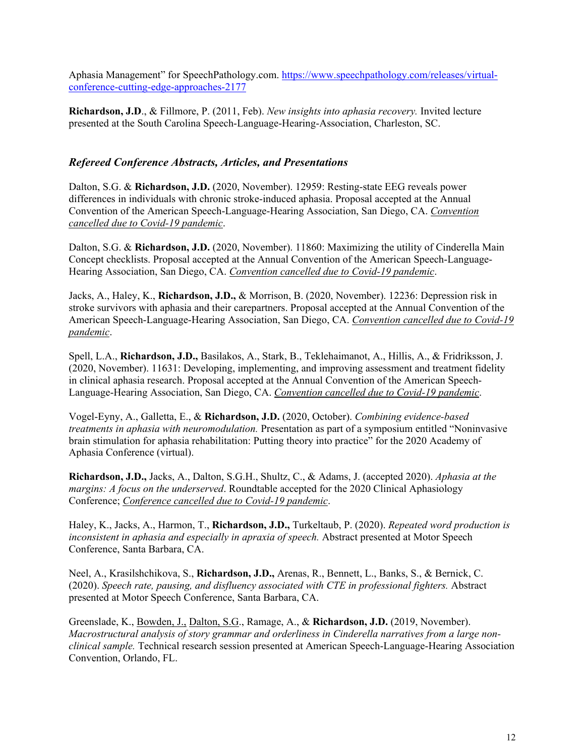Aphasia Management" for SpeechPathology.com. [https://www.speechpathology.com/releases/virtual](https://www.speechpathology.com/releases/virtual-conference-cutting-edge-approaches-2177)[conference-cutting-edge-approaches-2177](https://www.speechpathology.com/releases/virtual-conference-cutting-edge-approaches-2177)

**Richardson, J.D**., & Fillmore, P. (2011, Feb). *New insights into aphasia recovery.* Invited lecture presented at the South Carolina Speech-Language-Hearing-Association, Charleston, SC.

#### *Refereed Conference Abstracts, Articles, and Presentations*

Dalton, S.G. & **Richardson, J.D.** (2020, November). 12959: Resting-state EEG reveals power differences in individuals with chronic stroke-induced aphasia. Proposal accepted at the Annual Convention of the American Speech-Language-Hearing Association, San Diego, CA. *Convention cancelled due to Covid-19 pandemic*.

Dalton, S.G. & **Richardson, J.D.** (2020, November). 11860: Maximizing the utility of Cinderella Main Concept checklists. Proposal accepted at the Annual Convention of the American Speech-Language-Hearing Association, San Diego, CA. *Convention cancelled due to Covid-19 pandemic*.

Jacks, A., Haley, K., **Richardson, J.D.,** & Morrison, B. (2020, November). 12236: Depression risk in stroke survivors with aphasia and their carepartners. Proposal accepted at the Annual Convention of the American Speech-Language-Hearing Association, San Diego, CA. *Convention cancelled due to Covid-19 pandemic*.

Spell, L.A., **Richardson, J.D.,** Basilakos, A., Stark, B., Teklehaimanot, A., Hillis, A., & Fridriksson, J. (2020, November). 11631: Developing, implementing, and improving assessment and treatment fidelity in clinical aphasia research. Proposal accepted at the Annual Convention of the American Speech-Language-Hearing Association, San Diego, CA. *Convention cancelled due to Covid-19 pandemic*.

Vogel-Eyny, A., Galletta, E., & **Richardson, J.D.** (2020, October). *Combining evidence-based treatments in aphasia with neuromodulation.* Presentation as part of a symposium entitled "Noninvasive brain stimulation for aphasia rehabilitation: Putting theory into practice" for the 2020 Academy of Aphasia Conference (virtual).

**Richardson, J.D.,** Jacks, A., Dalton, S.G.H., Shultz, C., & Adams, J. (accepted 2020). *Aphasia at the margins: A focus on the underserved*. Roundtable accepted for the 2020 Clinical Aphasiology Conference; *Conference cancelled due to Covid-19 pandemic*.

Haley, K., Jacks, A., Harmon, T., **Richardson, J.D.,** Turkeltaub, P. (2020). *Repeated word production is inconsistent in aphasia and especially in apraxia of speech.* Abstract presented at Motor Speech Conference, Santa Barbara, CA.

Neel, A., Krasilshchikova, S., **Richardson, J.D.,** Arenas, R., Bennett, L., Banks, S., & Bernick, C. (2020). *Speech rate, pausing, and disfluency associated with CTE in professional fighters.* Abstract presented at Motor Speech Conference, Santa Barbara, CA.

Greenslade, K., Bowden, J., Dalton, S.G., Ramage, A., & **Richardson, J.D.** (2019, November). *Macrostructural analysis of story grammar and orderliness in Cinderella narratives from a large nonclinical sample.* Technical research session presented at American Speech-Language-Hearing Association Convention, Orlando, FL.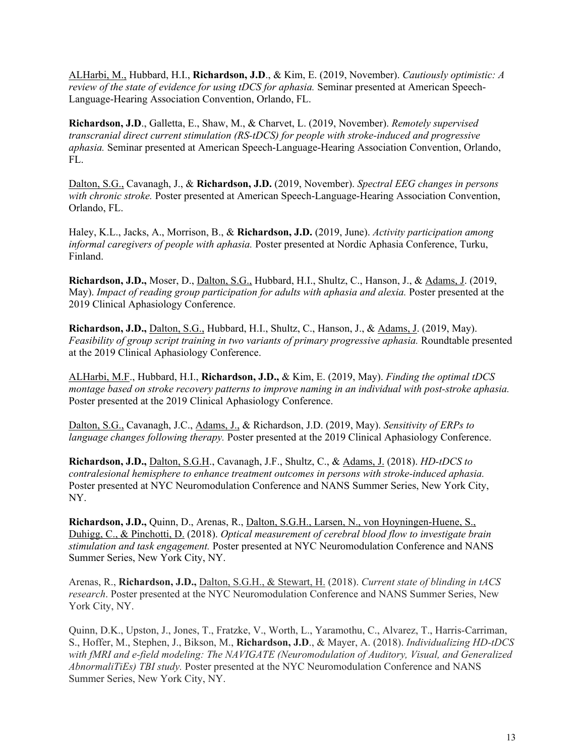ALHarbi, M., Hubbard, H.I., **Richardson, J.D**., & Kim, E. (2019, November). *Cautiously optimistic: A review of the state of evidence for using tDCS for aphasia.* Seminar presented at American Speech-Language-Hearing Association Convention, Orlando, FL.

**Richardson, J.D**., Galletta, E., Shaw, M., & Charvet, L. (2019, November). *Remotely supervised transcranial direct current stimulation (RS-tDCS) for people with stroke-induced and progressive aphasia.* Seminar presented at American Speech-Language-Hearing Association Convention, Orlando,  $FL.$ 

Dalton, S.G., Cavanagh, J., & **Richardson, J.D.** (2019, November). *Spectral EEG changes in persons with chronic stroke.* Poster presented at American Speech-Language-Hearing Association Convention, Orlando, FL.

Haley, K.L., Jacks, A., Morrison, B., & **Richardson, J.D.** (2019, June). *Activity participation among informal caregivers of people with aphasia.* Poster presented at Nordic Aphasia Conference, Turku, Finland.

**Richardson, J.D.,** Moser, D., Dalton, S.G., Hubbard, H.I., Shultz, C., Hanson, J., & Adams, J. (2019, May). *Impact of reading group participation for adults with aphasia and alexia.* Poster presented at the 2019 Clinical Aphasiology Conference.

**Richardson, J.D.,** Dalton, S.G., Hubbard, H.I., Shultz, C., Hanson, J., & Adams, J. (2019, May). *Feasibility of group script training in two variants of primary progressive aphasia.* Roundtable presented at the 2019 Clinical Aphasiology Conference.

ALHarbi, M.F., Hubbard, H.I., **Richardson, J.D.,** & Kim, E. (2019, May). *Finding the optimal tDCS montage based on stroke recovery patterns to improve naming in an individual with post-stroke aphasia.*  Poster presented at the 2019 Clinical Aphasiology Conference.

Dalton, S.G., Cavanagh, J.C., Adams, J., & Richardson, J.D. (2019, May). *Sensitivity of ERPs to language changes following therapy.* Poster presented at the 2019 Clinical Aphasiology Conference.

**Richardson, J.D.,** Dalton, S.G.H., Cavanagh, J.F., Shultz, C., & Adams, J. (2018). *HD-tDCS to contralesional hemisphere to enhance treatment outcomes in persons with stroke-induced aphasia.* Poster presented at NYC Neuromodulation Conference and NANS Summer Series, New York City, NY.

**Richardson, J.D.,** Quinn, D., Arenas, R., Dalton, S.G.H., Larsen, N., von Hoyningen-Huene, S., Duhigg, C., & Pinchotti, D. (2018). *Optical measurement of cerebral blood flow to investigate brain stimulation and task engagement.* Poster presented at NYC Neuromodulation Conference and NANS Summer Series, New York City, NY.

Arenas, R., **Richardson, J.D.,** Dalton, S.G.H., & Stewart, H. (2018). *Current state of blinding in tACS research*. Poster presented at the NYC Neuromodulation Conference and NANS Summer Series, New York City, NY.

Quinn, D.K., Upston, J., Jones, T., Fratzke, V., Worth, L., Yaramothu, C., Alvarez, T., Harris-Carriman, S., Hoffer, M., Stephen, J., Bikson, M., **Richardson, J.D**., & Mayer, A. (2018). *Individualizing HD-tDCS with fMRI and e-field modeling: The NAVIGATE (Neuromodulation of Auditory, Visual, and Generalized AbnormaliTiEs) TBI study.* Poster presented at the NYC Neuromodulation Conference and NANS Summer Series, New York City, NY.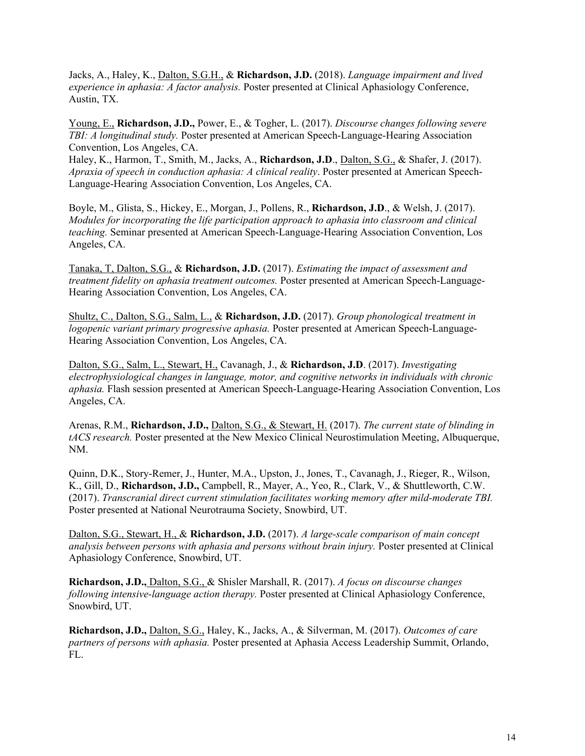Jacks, A., Haley, K., Dalton, S.G.H., & **Richardson, J.D.** (2018). *Language impairment and lived experience in aphasia: A factor analysis.* Poster presented at Clinical Aphasiology Conference, Austin, TX.

Young, E., **Richardson, J.D.,** Power, E., & Togher, L. (2017). *Discourse changes following severe TBI: A longitudinal study.* Poster presented at American Speech-Language-Hearing Association Convention, Los Angeles, CA.

Haley, K., Harmon, T., Smith, M., Jacks, A., **Richardson, J.D**., Dalton, S.G., & Shafer, J. (2017). *Apraxia of speech in conduction aphasia: A clinical reality*. Poster presented at American Speech-Language-Hearing Association Convention, Los Angeles, CA.

Boyle, M., Glista, S., Hickey, E., Morgan, J., Pollens, R., **Richardson, J.D**., & Welsh, J. (2017). *Modules for incorporating the life participation approach to aphasia into classroom and clinical teaching.* Seminar presented at American Speech-Language-Hearing Association Convention, Los Angeles, CA.

Tanaka, T, Dalton, S.G., & **Richardson, J.D.** (2017). *Estimating the impact of assessment and treatment fidelity on aphasia treatment outcomes.* Poster presented at American Speech-Language-Hearing Association Convention, Los Angeles, CA.

Shultz, C., Dalton, S.G., Salm, L., & **Richardson, J.D.** (2017). *Group phonological treatment in logopenic variant primary progressive aphasia.* Poster presented at American Speech-Language-Hearing Association Convention, Los Angeles, CA.

Dalton, S.G., Salm, L., Stewart, H., Cavanagh, J., & **Richardson, J.D**. (2017). *Investigating electrophysiological changes in language, motor, and cognitive networks in individuals with chronic aphasia.* Flash session presented at American Speech-Language-Hearing Association Convention, Los Angeles, CA.

Arenas, R.M., **Richardson, J.D.,** Dalton, S.G., & Stewart, H. (2017). *The current state of blinding in tACS research.* Poster presented at the New Mexico Clinical Neurostimulation Meeting, Albuquerque, NM.

Quinn, D.K., Story-Remer, J., Hunter, M.A., Upston, J., Jones, T., Cavanagh, J., Rieger, R., Wilson, K., Gill, D., **Richardson, J.D.,** Campbell, R., Mayer, A., Yeo, R., Clark, V., & Shuttleworth, C.W. (2017). *Transcranial direct current stimulation facilitates working memory after mild-moderate TBI.* Poster presented at National Neurotrauma Society, Snowbird, UT.

Dalton, S.G., Stewart, H., & **Richardson, J.D.** (2017). *A large-scale comparison of main concept analysis between persons with aphasia and persons without brain injury.* Poster presented at Clinical Aphasiology Conference, Snowbird, UT.

**Richardson, J.D.,** Dalton, S.G., & Shisler Marshall, R. (2017). *A focus on discourse changes following intensive-language action therapy.* Poster presented at Clinical Aphasiology Conference, Snowbird, UT.

**Richardson, J.D.,** Dalton, S.G., Haley, K., Jacks, A., & Silverman, M. (2017). *Outcomes of care partners of persons with aphasia.* Poster presented at Aphasia Access Leadership Summit, Orlando, FL.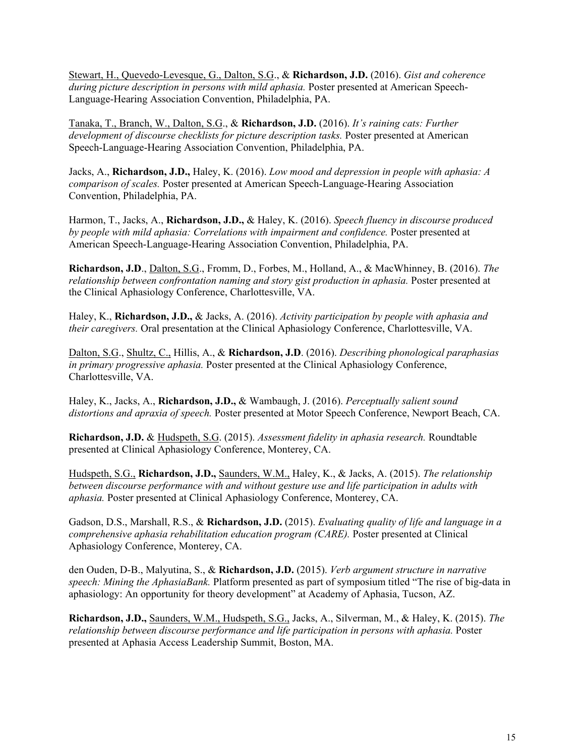Stewart, H., Quevedo-Levesque, G., Dalton, S.G., & **Richardson, J.D.** (2016). *Gist and coherence during picture description in persons with mild aphasia.* Poster presented at American Speech-Language-Hearing Association Convention, Philadelphia, PA.

Tanaka, T., Branch, W., Dalton, S.G., & **Richardson, J.D.** (2016). *It's raining cats: Further development of discourse checklists for picture description tasks.* Poster presented at American Speech-Language-Hearing Association Convention, Philadelphia, PA.

Jacks, A., **Richardson, J.D.,** Haley, K. (2016). *Low mood and depression in people with aphasia: A comparison of scales.* Poster presented at American Speech-Language-Hearing Association Convention, Philadelphia, PA.

Harmon, T., Jacks, A., **Richardson, J.D.,** & Haley, K. (2016). *Speech fluency in discourse produced by people with mild aphasia: Correlations with impairment and confidence.* Poster presented at American Speech-Language-Hearing Association Convention, Philadelphia, PA.

**Richardson, J.D**., Dalton, S.G., Fromm, D., Forbes, M., Holland, A., & MacWhinney, B. (2016). *The relationship between confrontation naming and story gist production in aphasia.* Poster presented at the Clinical Aphasiology Conference, Charlottesville, VA.

Haley, K., **Richardson, J.D.,** & Jacks, A. (2016). *Activity participation by people with aphasia and their caregivers.* Oral presentation at the Clinical Aphasiology Conference, Charlottesville, VA.

Dalton, S.G., Shultz, C., Hillis, A., & **Richardson, J.D**. (2016). *Describing phonological paraphasias in primary progressive aphasia.* Poster presented at the Clinical Aphasiology Conference, Charlottesville, VA.

Haley, K., Jacks, A., **Richardson, J.D.,** & Wambaugh, J. (2016). *Perceptually salient sound distortions and apraxia of speech.* Poster presented at Motor Speech Conference, Newport Beach, CA.

**Richardson, J.D.** & Hudspeth, S.G. (2015). *Assessment fidelity in aphasia research.* Roundtable presented at Clinical Aphasiology Conference, Monterey, CA.

Hudspeth, S.G., **Richardson, J.D.,** Saunders, W.M., Haley, K., & Jacks, A. (2015). *The relationship between discourse performance with and without gesture use and life participation in adults with aphasia.* Poster presented at Clinical Aphasiology Conference, Monterey, CA.

Gadson, D.S., Marshall, R.S., & **Richardson, J.D.** (2015). *Evaluating quality of life and language in a comprehensive aphasia rehabilitation education program (CARE).* Poster presented at Clinical Aphasiology Conference, Monterey, CA.

den Ouden, D-B., Malyutina, S., & **Richardson, J.D.** (2015). *Verb argument structure in narrative speech: Mining the AphasiaBank.* Platform presented as part of symposium titled "The rise of big-data in aphasiology: An opportunity for theory development" at Academy of Aphasia, Tucson, AZ.

**Richardson, J.D.,** Saunders, W.M., Hudspeth, S.G., Jacks, A., Silverman, M., & Haley, K. (2015). *The relationship between discourse performance and life participation in persons with aphasia.* Poster presented at Aphasia Access Leadership Summit, Boston, MA.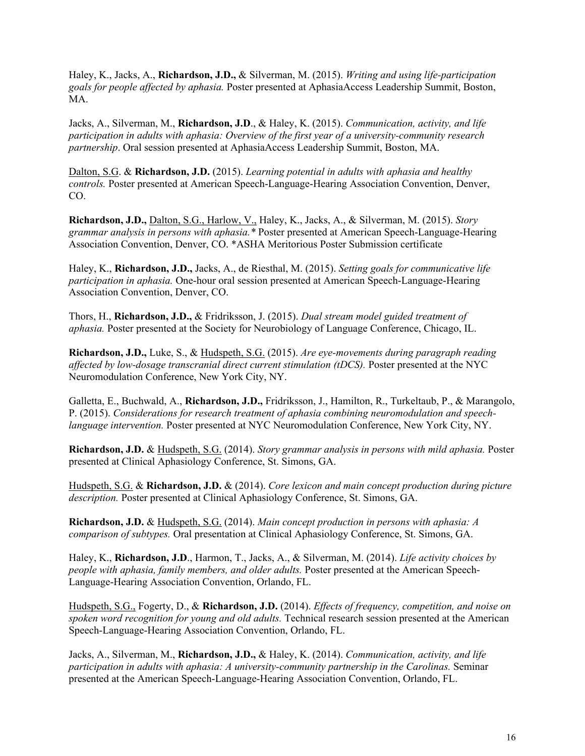Haley, K., Jacks, A., **Richardson, J.D.,** & Silverman, M. (2015). *Writing and using life-participation goals for people affected by aphasia.* Poster presented at AphasiaAccess Leadership Summit, Boston, MA.

Jacks, A., Silverman, M., **Richardson, J.D**., & Haley, K. (2015). *Communication, activity, and life participation in adults with aphasia: Overview of the first year of a university-community research partnership*. Oral session presented at AphasiaAccess Leadership Summit, Boston, MA.

Dalton, S.G. & **Richardson, J.D.** (2015). *Learning potential in adults with aphasia and healthy controls.* Poster presented at American Speech-Language-Hearing Association Convention, Denver, CO.

**Richardson, J.D.,** Dalton, S.G., Harlow, V., Haley, K., Jacks, A., & Silverman, M. (2015). *Story grammar analysis in persons with aphasia.\** Poster presented at American Speech-Language-Hearing Association Convention, Denver, CO. \*ASHA Meritorious Poster Submission certificate

Haley, K., **Richardson, J.D.,** Jacks, A., de Riesthal, M. (2015). *Setting goals for communicative life participation in aphasia.* One-hour oral session presented at American Speech-Language-Hearing Association Convention, Denver, CO.

Thors, H., **Richardson, J.D.,** & Fridriksson, J. (2015). *Dual stream model guided treatment of aphasia.* Poster presented at the Society for Neurobiology of Language Conference, Chicago, IL.

**Richardson, J.D.,** Luke, S., & Hudspeth, S.G. (2015). *Are eye-movements during paragraph reading affected by low-dosage transcranial direct current stimulation (tDCS).* Poster presented at the NYC Neuromodulation Conference, New York City, NY.

Galletta, E., Buchwald, A., **Richardson, J.D.,** Fridriksson, J., Hamilton, R., Turkeltaub, P., & Marangolo, P. (2015). *Considerations for research treatment of aphasia combining neuromodulation and speechlanguage intervention.* Poster presented at NYC Neuromodulation Conference, New York City, NY.

**Richardson, J.D.** & Hudspeth, S.G. (2014). *Story grammar analysis in persons with mild aphasia.* Poster presented at Clinical Aphasiology Conference, St. Simons, GA.

Hudspeth, S.G. & **Richardson, J.D.** & (2014). *Core lexicon and main concept production during picture description.* Poster presented at Clinical Aphasiology Conference, St. Simons, GA.

**Richardson, J.D.** & Hudspeth, S.G. (2014). *Main concept production in persons with aphasia: A comparison of subtypes.* Oral presentation at Clinical Aphasiology Conference, St. Simons, GA.

Haley, K., **Richardson, J.D**., Harmon, T., Jacks, A., & Silverman, M. (2014). *Life activity choices by people with aphasia, family members, and older adults.* Poster presented at the American Speech-Language-Hearing Association Convention, Orlando, FL.

Hudspeth, S.G., Fogerty, D., & **Richardson, J.D.** (2014). *Effects of frequency, competition, and noise on spoken word recognition for young and old adults.* Technical research session presented at the American Speech-Language-Hearing Association Convention, Orlando, FL.

Jacks, A., Silverman, M., **Richardson, J.D.,** & Haley, K. (2014). *Communication, activity, and life participation in adults with aphasia: A university-community partnership in the Carolinas.* Seminar presented at the American Speech-Language-Hearing Association Convention, Orlando, FL.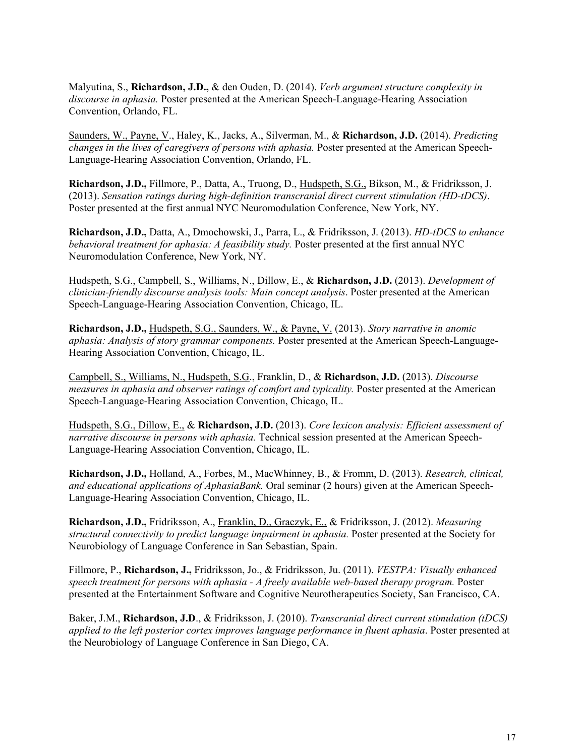Malyutina, S., **Richardson, J.D.,** & den Ouden, D. (2014). *Verb argument structure complexity in discourse in aphasia.* Poster presented at the American Speech-Language-Hearing Association Convention, Orlando, FL.

Saunders, W., Payne, V., Haley, K., Jacks, A., Silverman, M., & **Richardson, J.D.** (2014). *Predicting changes in the lives of caregivers of persons with aphasia.* Poster presented at the American Speech-Language-Hearing Association Convention, Orlando, FL.

**Richardson, J.D.,** Fillmore, P., Datta, A., Truong, D., Hudspeth, S.G., Bikson, M., & Fridriksson, J. (2013). *Sensation ratings during high-definition transcranial direct current stimulation (HD-tDCS)*. Poster presented at the first annual NYC Neuromodulation Conference, New York, NY.

**Richardson, J.D.,** Datta, A., Dmochowski, J., Parra, L., & Fridriksson, J. (2013). *HD-tDCS to enhance behavioral treatment for aphasia: A feasibility study.* Poster presented at the first annual NYC Neuromodulation Conference, New York, NY.

Hudspeth, S.G., Campbell, S., Williams, N., Dillow, E., & **Richardson, J.D.** (2013). *Development of clinician-friendly discourse analysis tools: Main concept analysis*. Poster presented at the American Speech-Language-Hearing Association Convention, Chicago, IL.

**Richardson, J.D.,** Hudspeth, S.G., Saunders, W., & Payne, V. (2013). *Story narrative in anomic aphasia: Analysis of story grammar components.* Poster presented at the American Speech-Language-Hearing Association Convention, Chicago, IL.

Campbell, S., Williams, N., Hudspeth, S.G., Franklin, D., & **Richardson, J.D.** (2013). *Discourse measures in aphasia and observer ratings of comfort and typicality.* Poster presented at the American Speech-Language-Hearing Association Convention, Chicago, IL.

Hudspeth, S.G., Dillow, E., & **Richardson, J.D.** (2013). *Core lexicon analysis: Efficient assessment of narrative discourse in persons with aphasia.* Technical session presented at the American Speech-Language-Hearing Association Convention, Chicago, IL.

**Richardson, J.D.,** Holland, A., Forbes, M., MacWhinney, B., & Fromm, D. (2013). *Research, clinical, and educational applications of AphasiaBank.* Oral seminar (2 hours) given at the American Speech-Language-Hearing Association Convention, Chicago, IL.

**Richardson, J.D.,** Fridriksson, A., Franklin, D., Graczyk, E., & Fridriksson, J. (2012). *Measuring structural connectivity to predict language impairment in aphasia.* Poster presented at the Society for Neurobiology of Language Conference in San Sebastian, Spain.

Fillmore, P., **Richardson, J.,** Fridriksson, Jo., & Fridriksson, Ju. (2011). *VESTPA: Visually enhanced speech treatment for persons with aphasia - A freely available web-based therapy program.* Poster presented at the Entertainment Software and Cognitive Neurotherapeutics Society, San Francisco, CA.

Baker, J.M., **Richardson, J.D**., & Fridriksson, J. (2010). *Transcranial direct current stimulation (tDCS) applied to the left posterior cortex improves language performance in fluent aphasia*. Poster presented at the Neurobiology of Language Conference in San Diego, CA.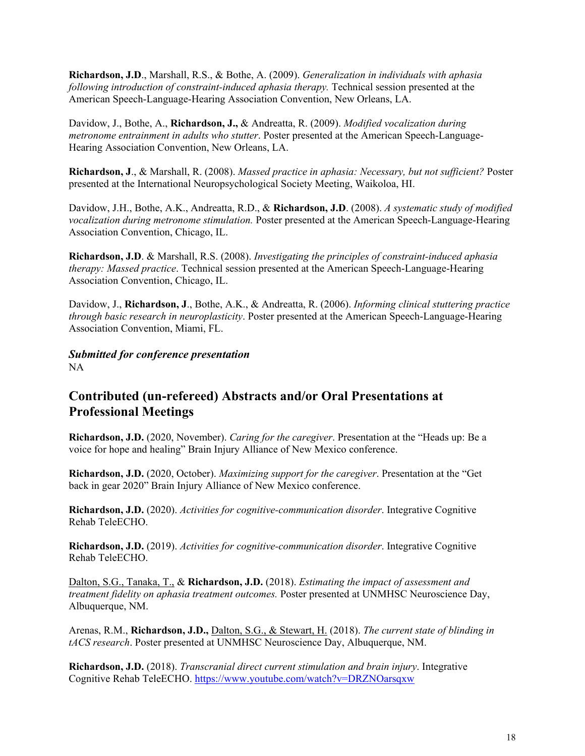**Richardson, J.D**., Marshall, R.S., & Bothe, A. (2009). *Generalization in individuals with aphasia following introduction of constraint-induced aphasia therapy.* Technical session presented at the American Speech-Language-Hearing Association Convention, New Orleans, LA.

Davidow, J., Bothe, A., **Richardson, J.,** & Andreatta, R. (2009). *Modified vocalization during metronome entrainment in adults who stutter*. Poster presented at the American Speech-Language-Hearing Association Convention, New Orleans, LA.

**Richardson, J**., & Marshall, R. (2008). *Massed practice in aphasia: Necessary, but not sufficient?* Poster presented at the International Neuropsychological Society Meeting, Waikoloa, HI.

Davidow, J.H., Bothe, A.K., Andreatta, R.D., & **Richardson, J.D**. (2008). *A systematic study of modified vocalization during metronome stimulation.* Poster presented at the American Speech-Language-Hearing Association Convention, Chicago, IL.

**Richardson, J.D**. & Marshall, R.S. (2008). *Investigating the principles of constraint-induced aphasia therapy: Massed practice*. Technical session presented at the American Speech-Language-Hearing Association Convention, Chicago, IL.

Davidow, J., **Richardson, J**., Bothe, A.K., & Andreatta, R. (2006). *Informing clinical stuttering practice through basic research in neuroplasticity*. Poster presented at the American Speech-Language-Hearing Association Convention, Miami, FL.

*Submitted for conference presentation*  NA

## **Contributed (un-refereed) Abstracts and/or Oral Presentations at Professional Meetings**

**Richardson, J.D.** (2020, November). *Caring for the caregiver*. Presentation at the "Heads up: Be a voice for hope and healing" Brain Injury Alliance of New Mexico conference.

**Richardson, J.D.** (2020, October). *Maximizing support for the caregiver*. Presentation at the "Get back in gear 2020" Brain Injury Alliance of New Mexico conference.

**Richardson, J.D.** (2020). *Activities for cognitive-communication disorder*. Integrative Cognitive Rehab TeleECHO.

**Richardson, J.D.** (2019). *Activities for cognitive-communication disorder*. Integrative Cognitive Rehab TeleECHO.

Dalton, S.G., Tanaka, T., & **Richardson, J.D.** (2018). *Estimating the impact of assessment and treatment fidelity on aphasia treatment outcomes.* Poster presented at UNMHSC Neuroscience Day, Albuquerque, NM.

Arenas, R.M., **Richardson, J.D.,** Dalton, S.G., & Stewart, H. (2018). *The current state of blinding in tACS research*. Poster presented at UNMHSC Neuroscience Day, Albuquerque, NM.

**Richardson, J.D.** (2018). *Transcranial direct current stimulation and brain injury*. Integrative Cognitive Rehab TeleECHO.<https://www.youtube.com/watch?v=DRZNOarsqxw>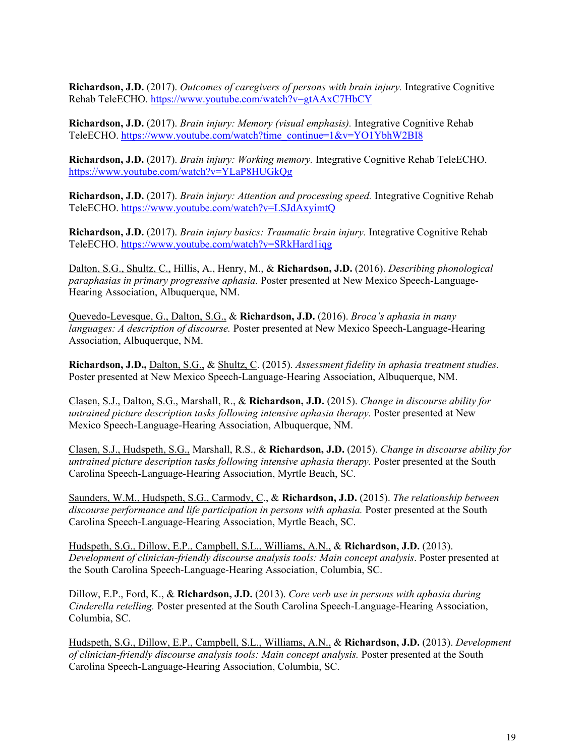**Richardson, J.D.** (2017). *Outcomes of caregivers of persons with brain injury.* Integrative Cognitive Rehab TeleECHO.<https://www.youtube.com/watch?v=gtAAxC7HbCY>

**Richardson, J.D.** (2017). *Brain injury: Memory (visual emphasis).* Integrative Cognitive Rehab TeleECHO. [https://www.youtube.com/watch?time\\_continue=1&v=YO1YbhW2BI8](https://www.youtube.com/watch?time_continue=1&v=YO1YbhW2BI8)

**Richardson, J.D.** (2017). *Brain injury: Working memory.* Integrative Cognitive Rehab TeleECHO. <https://www.youtube.com/watch?v=YLaP8HUGkQg>

**Richardson, J.D.** (2017). *Brain injury: Attention and processing speed.* Integrative Cognitive Rehab TeleECHO.<https://www.youtube.com/watch?v=LSJdAxyimtQ>

**Richardson, J.D.** (2017). *Brain injury basics: Traumatic brain injury.* Integrative Cognitive Rehab TeleECHO.<https://www.youtube.com/watch?v=SRkHard1iqg>

Dalton, S.G., Shultz, C., Hillis, A., Henry, M., & **Richardson, J.D.** (2016). *Describing phonological paraphasias in primary progressive aphasia.* Poster presented at New Mexico Speech-Language-Hearing Association, Albuquerque, NM.

Quevedo-Levesque, G., Dalton, S.G., & **Richardson, J.D.** (2016). *Broca's aphasia in many languages: A description of discourse.* Poster presented at New Mexico Speech-Language-Hearing Association, Albuquerque, NM.

**Richardson, J.D.,** Dalton, S.G., & Shultz, C. (2015). *Assessment fidelity in aphasia treatment studies.* Poster presented at New Mexico Speech-Language-Hearing Association, Albuquerque, NM.

Clasen, S.J., Dalton, S.G., Marshall, R., & **Richardson, J.D.** (2015). *Change in discourse ability for untrained picture description tasks following intensive aphasia therapy.* Poster presented at New Mexico Speech-Language-Hearing Association, Albuquerque, NM.

Clasen, S.J., Hudspeth, S.G., Marshall, R.S., & **Richardson, J.D.** (2015). *Change in discourse ability for untrained picture description tasks following intensive aphasia therapy.* Poster presented at the South Carolina Speech-Language-Hearing Association, Myrtle Beach, SC.

Saunders, W.M., Hudspeth, S.G., Carmody, C., & **Richardson, J.D.** (2015). *The relationship between discourse performance and life participation in persons with aphasia.* Poster presented at the South Carolina Speech-Language-Hearing Association, Myrtle Beach, SC.

Hudspeth, S.G., Dillow, E.P., Campbell, S.L., Williams, A.N., & **Richardson, J.D.** (2013). *Development of clinician-friendly discourse analysis tools: Main concept analysis*. Poster presented at the South Carolina Speech-Language-Hearing Association, Columbia, SC.

Dillow, E.P., Ford, K., & **Richardson, J.D.** (2013). *Core verb use in persons with aphasia during Cinderella retelling.* Poster presented at the South Carolina Speech-Language-Hearing Association, Columbia, SC.

Hudspeth, S.G., Dillow, E.P., Campbell, S.L., Williams, A.N., & **Richardson, J.D.** (2013). *Development of clinician-friendly discourse analysis tools: Main concept analysis.* Poster presented at the South Carolina Speech-Language-Hearing Association, Columbia, SC.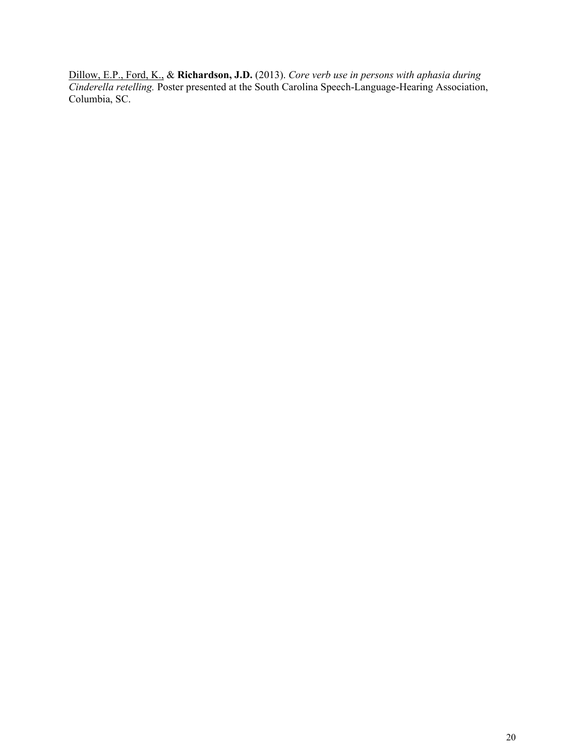Dillow, E.P., Ford, K., & **Richardson, J.D.** (2013). *Core verb use in persons with aphasia during Cinderella retelling.* Poster presented at the South Carolina Speech-Language-Hearing Association, Columbia, SC.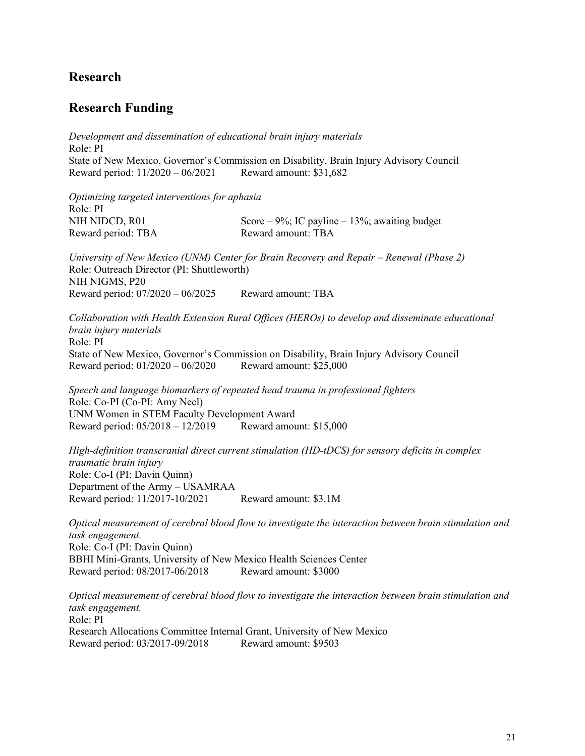## **Research**

### **Research Funding**

*Development and dissemination of educational brain injury materials* Role: PI State of New Mexico, Governor's Commission on Disability, Brain Injury Advisory Council Reward period: 11/2020 – 06/2021 Reward amount: \$31,682

*Optimizing targeted interventions for aphasia* Role: PI NIH NIDCD, R01 Score – 9%; IC payline – 13%; awaiting budget Reward period: TBA Reward amount: TBA

*University of New Mexico (UNM) Center for Brain Recovery and Repair – Renewal (Phase 2)* Role: Outreach Director (PI: Shuttleworth) NIH NIGMS, P20 Reward period: 07/2020 – 06/2025 Reward amount: TBA

*Collaboration with Health Extension Rural Offices (HEROs) to develop and disseminate educational brain injury materials* Role: PI State of New Mexico, Governor's Commission on Disability, Brain Injury Advisory Council Reward period: 01/2020 – 06/2020 Reward amount: \$25,000

*Speech and language biomarkers of repeated head trauma in professional fighters*  Role: Co-PI (Co-PI: Amy Neel) UNM Women in STEM Faculty Development Award Reward period: 05/2018 – 12/2019 Reward amount: \$15,000

*High-definition transcranial direct current stimulation (HD-tDCS) for sensory deficits in complex traumatic brain injury* Role: Co-I (PI: Davin Quinn) Department of the Army – USAMRAA Reward period: 11/2017-10/2021 Reward amount: \$3.1M

*Optical measurement of cerebral blood flow to investigate the interaction between brain stimulation and task engagement.*  Role: Co-I (PI: Davin Quinn) BBHI Mini-Grants, University of New Mexico Health Sciences Center Reward period: 08/2017-06/2018 Reward amount: \$3000

*Optical measurement of cerebral blood flow to investigate the interaction between brain stimulation and task engagement.*  Role: PI Research Allocations Committee Internal Grant, University of New Mexico Reward period: 03/2017-09/2018 Reward amount: \$9503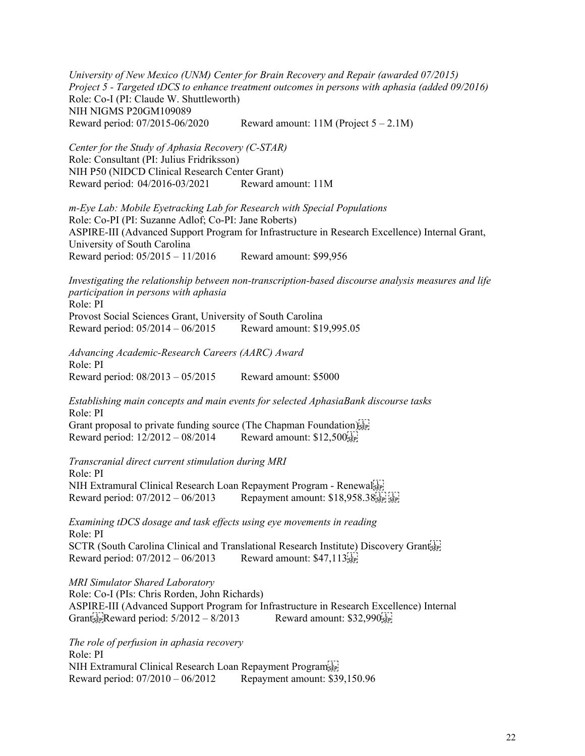*University of New Mexico (UNM) Center for Brain Recovery and Repair (awarded 07/2015) Project 5 - Targeted tDCS to enhance treatment outcomes in persons with aphasia (added 09/2016)* Role: Co-I (PI: Claude W. Shuttleworth) NIH NIGMS P20GM109089 Reward period:  $07/2015-06/2020$  Reward amount:  $11M$  (Project  $5-2.1M$ )

*Center for the Study of Aphasia Recovery (C-STAR)* Role: Consultant (PI: Julius Fridriksson) NIH P50 (NIDCD Clinical Research Center Grant) Reward period: 04/2016-03/2021 Reward amount: 11M

*m-Eye Lab: Mobile Eyetracking Lab for Research with Special Populations* Role: Co-PI (PI: Suzanne Adlof; Co-PI: Jane Roberts) ASPIRE-III (Advanced Support Program for Infrastructure in Research Excellence) Internal Grant, University of South Carolina Reward period: 05/2015 – 11/2016 Reward amount: \$99,956

*Investigating the relationship between non-transcription-based discourse analysis measures and life participation in persons with aphasia* Role: PI Provost Social Sciences Grant, University of South Carolina Reward period: 05/2014 – 06/2015 Reward amount: \$19,995.05

*Advancing Academic-Research Careers (AARC) Award* Role: PI Reward period: 08/2013 – 05/2015 Reward amount: \$5000

*Establishing main concepts and main events for selected AphasiaBank discourse tasks* Role: PI Grant proposal to private funding source (The Chapman Foundation)<sup>[17]</sup> Reward period:  $12/2012 - 08/2014$  Reward amount:  $$12,500$ <sub>SEP</sub>

*Transcranial direct current stimulation during MRI* Role: PI NIH Extramural Clinical Research Loan Repayment Program - Renewal Reward period: 07/2012 – 06/2013 Repayment amount: \$18,958.38 

*Examining tDCS dosage and task effects using eye movements in reading* Role: PI SCTR (South Carolina Clinical and Translational Research Institute) Discovery Grants Reward period:  $07/2012 - 06/2013$  Reward amount: \$47,113;

*MRI Simulator Shared Laboratory* Role: Co-I (PIs: Chris Rorden, John Richards) ASPIRE-III (Advanced Support Program for Infrastructure in Research Excellence) Internal Grant FR Reward period: 5/2012 - 8/2013 Reward amount: \$32,990 Reward

*The role of perfusion in aphasia recovery* Role: PI NIH Extramural Clinical Research Loan Repayment Program Reward period: 07/2010 – 06/2012 Repayment amount: \$39,150.96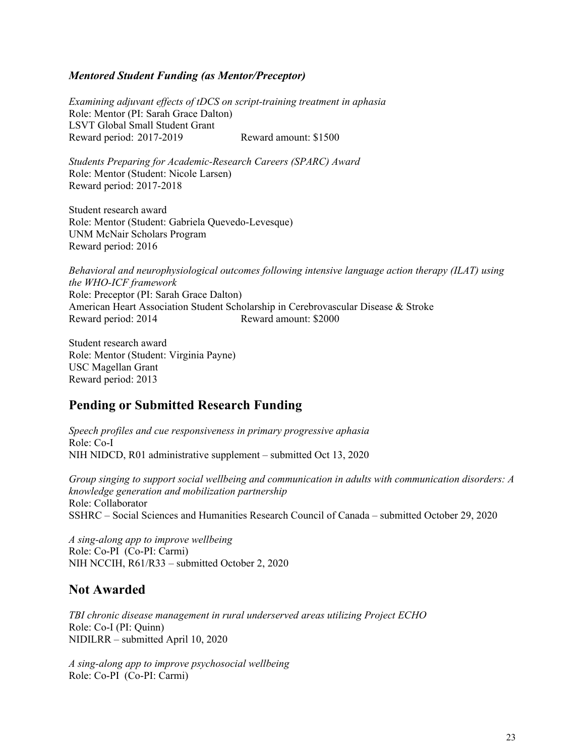#### *Mentored Student Funding (as Mentor/Preceptor)*

*Examining adjuvant effects of tDCS on script-training treatment in aphasia*  Role: Mentor (PI: Sarah Grace Dalton) LSVT Global Small Student Grant Reward period: 2017-2019 Reward amount: \$1500

*Students Preparing for Academic-Research Careers (SPARC) Award*  Role: Mentor (Student: Nicole Larsen) Reward period: 2017-2018

Student research award Role: Mentor (Student: Gabriela Quevedo-Levesque) UNM McNair Scholars Program Reward period: 2016

*Behavioral and neurophysiological outcomes following intensive language action therapy (ILAT) using the WHO-ICF framework* Role: Preceptor (PI: Sarah Grace Dalton) American Heart Association Student Scholarship in Cerebrovascular Disease & Stroke Reward period: 2014 Reward amount: \$2000

Student research award Role: Mentor (Student: Virginia Payne) USC Magellan Grant Reward period: 2013

### **Pending or Submitted Research Funding**

*Speech profiles and cue responsiveness in primary progressive aphasia* Role: Co-I NIH NIDCD, R01 administrative supplement – submitted Oct 13, 2020

*Group singing to support social wellbeing and communication in adults with communication disorders: A knowledge generation and mobilization partnership*  Role: Collaborator SSHRC – Social Sciences and Humanities Research Council of Canada – submitted October 29, 2020

*A sing-along app to improve wellbeing* Role: Co-PI (Co-PI: Carmi) NIH NCCIH, R61/R33 – submitted October 2, 2020

### **Not Awarded**

*TBI chronic disease management in rural underserved areas utilizing Project ECHO* Role: Co-I (PI: Quinn) NIDILRR – submitted April 10, 2020

*A sing-along app to improve psychosocial wellbeing* Role: Co-PI (Co-PI: Carmi)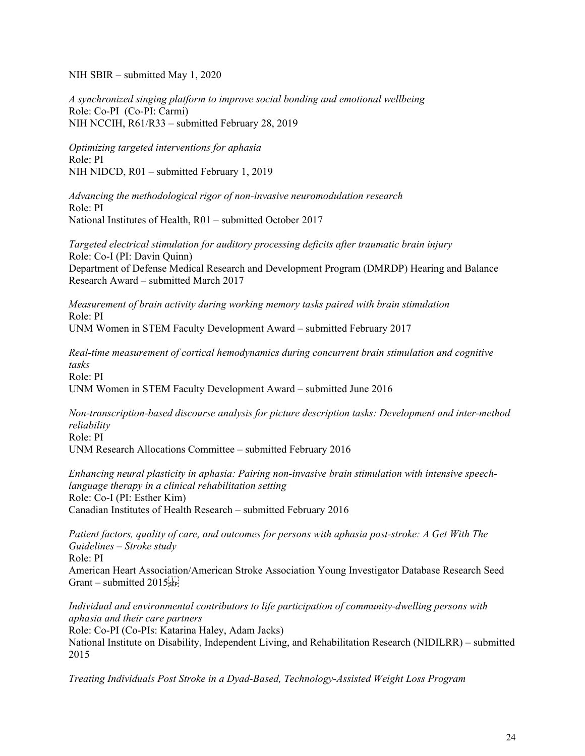NIH SBIR – submitted May 1, 2020

*A synchronized singing platform to improve social bonding and emotional wellbeing* Role: Co-PI (Co-PI: Carmi) NIH NCCIH, R61/R33 – submitted February 28, 2019

*Optimizing targeted interventions for aphasia* Role: PI NIH NIDCD, R01 – submitted February 1, 2019

*Advancing the methodological rigor of non-invasive neuromodulation research* Role: PI National Institutes of Health, R01 – submitted October 2017

*Targeted electrical stimulation for auditory processing deficits after traumatic brain injury* Role: Co-I (PI: Davin Quinn) Department of Defense Medical Research and Development Program (DMRDP) Hearing and Balance Research Award – submitted March 2017

*Measurement of brain activity during working memory tasks paired with brain stimulation* Role: PI UNM Women in STEM Faculty Development Award – submitted February 2017

*Real-time measurement of cortical hemodynamics during concurrent brain stimulation and cognitive tasks* Role: PI UNM Women in STEM Faculty Development Award – submitted June 2016

*Non-transcription-based discourse analysis for picture description tasks: Development and inter-method reliability* Role: PI UNM Research Allocations Committee – submitted February 2016

*Enhancing neural plasticity in aphasia: Pairing non-invasive brain stimulation with intensive speechlanguage therapy in a clinical rehabilitation setting* Role: Co-I (PI: Esther Kim) Canadian Institutes of Health Research – submitted February 2016

*Patient factors, quality of care, and outcomes for persons with aphasia post-stroke: A Get With The Guidelines – Stroke study* Role: PI American Heart Association/American Stroke Association Young Investigator Database Research Seed Grant – submitted  $2015^{\frac{1}{12}}_{\text{SEP}}$ 

*Individual and environmental contributors to life participation of community-dwelling persons with aphasia and their care partners* Role: Co-PI (Co-PIs: Katarina Haley, Adam Jacks) National Institute on Disability, Independent Living, and Rehabilitation Research (NIDILRR) – submitted 2015

*Treating Individuals Post Stroke in a Dyad-Based, Technology-Assisted Weight Loss Program*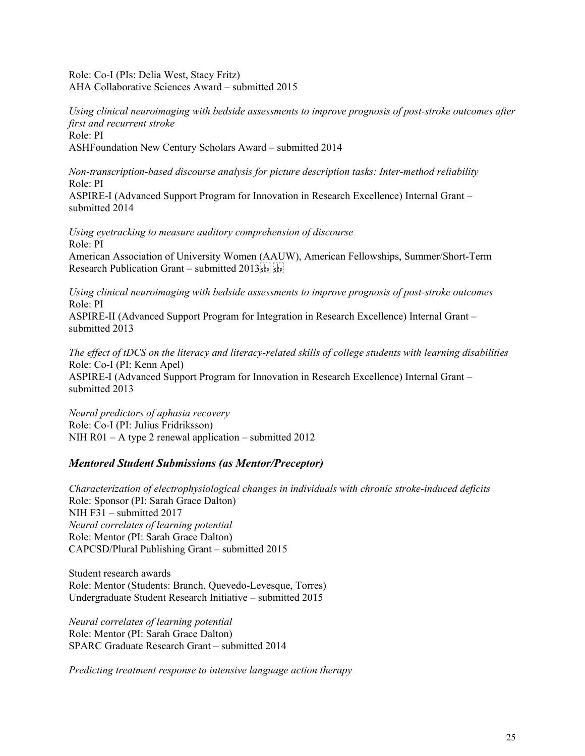Role: Co-I (PIs: Delia West, Stacy Fritz) AHA Collaborative Sciences Award – submitted 2015

*Using clinical neuroimaging with bedside assessments to improve prognosis of post-stroke outcomes after first and recurrent stroke* Role: PI ASHFoundation New Century Scholars Award – submitted 2014

*Non-transcription-based discourse analysis for picture description tasks: Inter-method reliability*  Role: PI ASPIRE-I (Advanced Support Program for Innovation in Research Excellence) Internal Grant – submitted 2014

*Using eyetracking to measure auditory comprehension of discourse* Role: PI American Association of University Women (AAUW), American Fellowships, Summer/Short-Term Research Publication Grant – submitted 2013 

*Using clinical neuroimaging with bedside assessments to improve prognosis of post-stroke outcomes*  Role: PI ASPIRE-II (Advanced Support Program for Integration in Research Excellence) Internal Grant – submitted 2013

*The effect of tDCS on the literacy and literacy-related skills of college students with learning disabilities*  Role: Co-I (PI: Kenn Apel) ASPIRE-I (Advanced Support Program for Innovation in Research Excellence) Internal Grant – submitted 2013

*Neural predictors of aphasia recovery*  Role: Co-I (PI: Julius Fridriksson) NIH R01 – A type 2 renewal application – submitted  $2012$ 

#### *Mentored Student Submissions (as Mentor/Preceptor)*

*Characterization of electrophysiological changes in individuals with chronic stroke-induced deficits* Role: Sponsor (PI: Sarah Grace Dalton) NIH F31 – submitted 2017 *Neural correlates of learning potential* Role: Mentor (PI: Sarah Grace Dalton) CAPCSD/Plural Publishing Grant – submitted 2015

Student research awards Role: Mentor (Students: Branch, Quevedo-Levesque, Torres) Undergraduate Student Research Initiative – submitted 2015

*Neural correlates of learning potential* Role: Mentor (PI: Sarah Grace Dalton) SPARC Graduate Research Grant – submitted 2014

*Predicting treatment response to intensive language action therapy*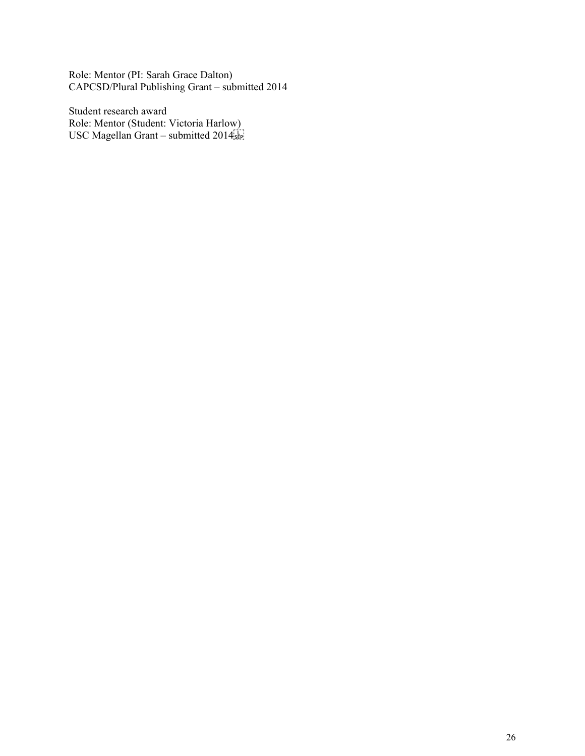Role: Mentor (PI: Sarah Grace Dalton) CAPCSD/Plural Publishing Grant – submitted 2014

Student research award Role: Mentor (Student: Victoria Harlow) USC Magellan Grant – submitted 2014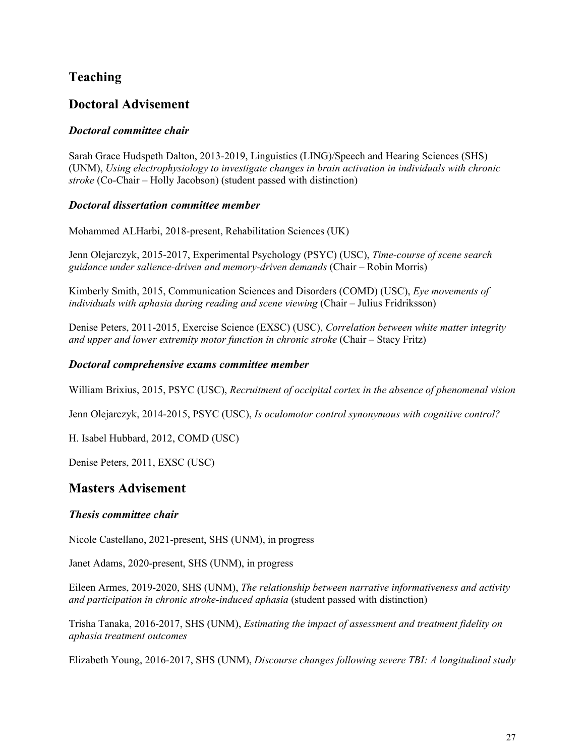# **Teaching**

# **Doctoral Advisement**

### *Doctoral committee chair*

Sarah Grace Hudspeth Dalton, 2013-2019, Linguistics (LING)/Speech and Hearing Sciences (SHS) (UNM), *Using electrophysiology to investigate changes in brain activation in individuals with chronic stroke* (Co-Chair – Holly Jacobson) (student passed with distinction)

### *Doctoral dissertation committee member*

Mohammed ALHarbi, 2018-present, Rehabilitation Sciences (UK)

Jenn Olejarczyk, 2015-2017, Experimental Psychology (PSYC) (USC), *Time-course of scene search guidance under salience-driven and memory-driven demands* (Chair – Robin Morris)

Kimberly Smith, 2015, Communication Sciences and Disorders (COMD) (USC), *Eye movements of individuals with aphasia during reading and scene viewing* (Chair – Julius Fridriksson)

Denise Peters, 2011-2015, Exercise Science (EXSC) (USC), *Correlation between white matter integrity and upper and lower extremity motor function in chronic stroke* (Chair – Stacy Fritz)

### *Doctoral comprehensive exams committee member*

William Brixius, 2015, PSYC (USC), *Recruitment of occipital cortex in the absence of phenomenal vision*

Jenn Olejarczyk, 2014-2015, PSYC (USC), *Is oculomotor control synonymous with cognitive control?*

H. Isabel Hubbard, 2012, COMD (USC)

Denise Peters, 2011, EXSC (USC)

### **Masters Advisement**

#### *Thesis committee chair*

Nicole Castellano, 2021-present, SHS (UNM), in progress

Janet Adams, 2020-present, SHS (UNM), in progress

Eileen Armes, 2019-2020, SHS (UNM), *The relationship between narrative informativeness and activity and participation in chronic stroke-induced aphasia* (student passed with distinction)

Trisha Tanaka, 2016-2017, SHS (UNM), *Estimating the impact of assessment and treatment fidelity on aphasia treatment outcomes*

Elizabeth Young, 2016-2017, SHS (UNM), *Discourse changes following severe TBI: A longitudinal study*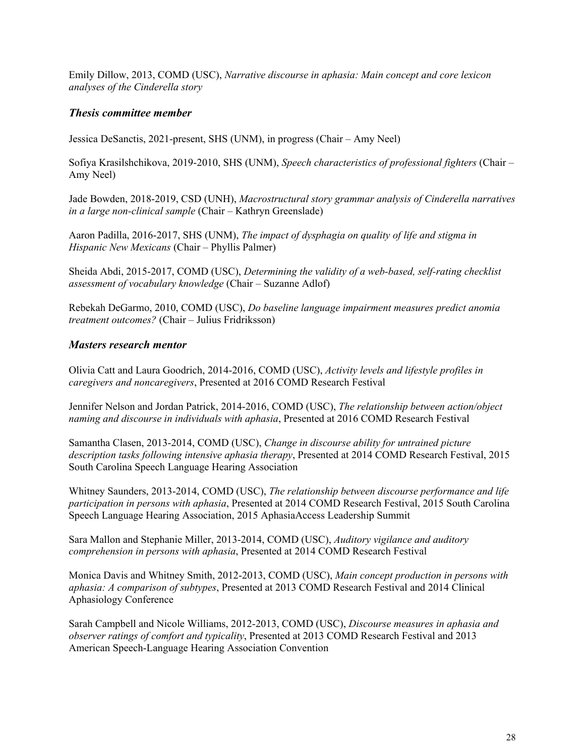Emily Dillow, 2013, COMD (USC), *Narrative discourse in aphasia: Main concept and core lexicon analyses of the Cinderella story*

#### *Thesis committee member*

Jessica DeSanctis, 2021-present, SHS (UNM), in progress (Chair – Amy Neel)

Sofiya Krasilshchikova, 2019-2010, SHS (UNM), *Speech characteristics of professional fighters* (Chair – Amy Neel)

Jade Bowden, 2018-2019, CSD (UNH), *Macrostructural story grammar analysis of Cinderella narratives in a large non-clinical sample* (Chair – Kathryn Greenslade)

Aaron Padilla, 2016-2017, SHS (UNM), *The impact of dysphagia on quality of life and stigma in Hispanic New Mexicans* (Chair – Phyllis Palmer)

Sheida Abdi, 2015-2017, COMD (USC), *Determining the validity of a web-based, self-rating checklist assessment of vocabulary knowledge* (Chair – Suzanne Adlof)

Rebekah DeGarmo, 2010, COMD (USC), *Do baseline language impairment measures predict anomia treatment outcomes?* (Chair – Julius Fridriksson)

#### *Masters research mentor*

Olivia Catt and Laura Goodrich, 2014-2016, COMD (USC), *Activity levels and lifestyle profiles in caregivers and noncaregivers*, Presented at 2016 COMD Research Festival

Jennifer Nelson and Jordan Patrick, 2014-2016, COMD (USC), *The relationship between action/object naming and discourse in individuals with aphasia*, Presented at 2016 COMD Research Festival

Samantha Clasen, 2013-2014, COMD (USC), *Change in discourse ability for untrained picture description tasks following intensive aphasia therapy*, Presented at 2014 COMD Research Festival, 2015 South Carolina Speech Language Hearing Association

Whitney Saunders, 2013-2014, COMD (USC), *The relationship between discourse performance and life participation in persons with aphasia*, Presented at 2014 COMD Research Festival, 2015 South Carolina Speech Language Hearing Association, 2015 AphasiaAccess Leadership Summit

Sara Mallon and Stephanie Miller, 2013-2014, COMD (USC), *Auditory vigilance and auditory comprehension in persons with aphasia*, Presented at 2014 COMD Research Festival

Monica Davis and Whitney Smith, 2012-2013, COMD (USC), *Main concept production in persons with aphasia: A comparison of subtypes*, Presented at 2013 COMD Research Festival and 2014 Clinical Aphasiology Conference

Sarah Campbell and Nicole Williams, 2012-2013, COMD (USC), *Discourse measures in aphasia and observer ratings of comfort and typicality*, Presented at 2013 COMD Research Festival and 2013 American Speech-Language Hearing Association Convention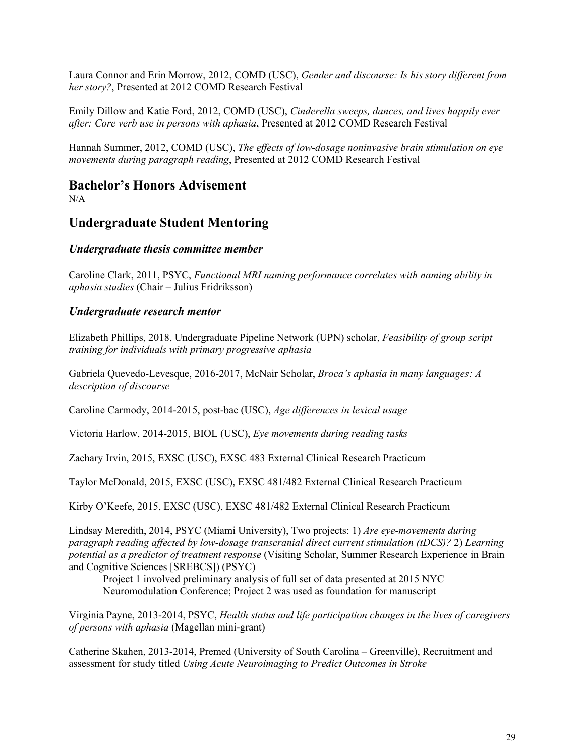Laura Connor and Erin Morrow, 2012, COMD (USC), *Gender and discourse: Is his story different from her story?*, Presented at 2012 COMD Research Festival

Emily Dillow and Katie Ford, 2012, COMD (USC), *Cinderella sweeps, dances, and lives happily ever after: Core verb use in persons with aphasia*, Presented at 2012 COMD Research Festival

Hannah Summer, 2012, COMD (USC), *The effects of low-dosage noninvasive brain stimulation on eye movements during paragraph reading*, Presented at 2012 COMD Research Festival

## **Bachelor's Honors Advisement**

 $N/A$ 

### **Undergraduate Student Mentoring**

### *Undergraduate thesis committee member*

Caroline Clark, 2011, PSYC, *Functional MRI naming performance correlates with naming ability in aphasia studies* (Chair – Julius Fridriksson)

### *Undergraduate research mentor*

Elizabeth Phillips, 2018, Undergraduate Pipeline Network (UPN) scholar, *Feasibility of group script training for individuals with primary progressive aphasia*

Gabriela Quevedo-Levesque, 2016-2017, McNair Scholar, *Broca's aphasia in many languages: A description of discourse*

Caroline Carmody, 2014-2015, post-bac (USC), *Age differences in lexical usage*

Victoria Harlow, 2014-2015, BIOL (USC), *Eye movements during reading tasks*

Zachary Irvin, 2015, EXSC (USC), EXSC 483 External Clinical Research Practicum

Taylor McDonald, 2015, EXSC (USC), EXSC 481/482 External Clinical Research Practicum

Kirby O'Keefe, 2015, EXSC (USC), EXSC 481/482 External Clinical Research Practicum

Lindsay Meredith, 2014, PSYC (Miami University), Two projects: 1) *Are eye-movements during paragraph reading affected by low-dosage transcranial direct current stimulation (tDCS)?* 2) *Learning potential as a predictor of treatment response* (Visiting Scholar, Summer Research Experience in Brain and Cognitive Sciences [SREBCS]) (PSYC)

Project 1 involved preliminary analysis of full set of data presented at 2015 NYC Neuromodulation Conference; Project 2 was used as foundation for manuscript

Virginia Payne, 2013-2014, PSYC, *Health status and life participation changes in the lives of caregivers of persons with aphasia* (Magellan mini-grant)

Catherine Skahen, 2013-2014, Premed (University of South Carolina – Greenville), Recruitment and assessment for study titled *Using Acute Neuroimaging to Predict Outcomes in Stroke*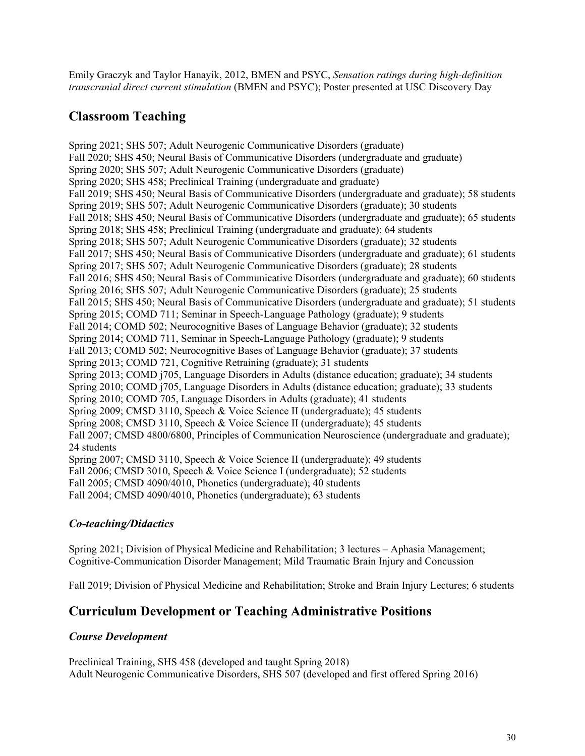Emily Graczyk and Taylor Hanayik, 2012, BMEN and PSYC, *Sensation ratings during high-definition transcranial direct current stimulation* (BMEN and PSYC); Poster presented at USC Discovery Day

# **Classroom Teaching**

Spring 2021; SHS 507; Adult Neurogenic Communicative Disorders (graduate) Fall 2020; SHS 450; Neural Basis of Communicative Disorders (undergraduate and graduate) Spring 2020; SHS 507; Adult Neurogenic Communicative Disorders (graduate) Spring 2020; SHS 458; Preclinical Training (undergraduate and graduate) Fall 2019; SHS 450; Neural Basis of Communicative Disorders (undergraduate and graduate); 58 students Spring 2019; SHS 507; Adult Neurogenic Communicative Disorders (graduate); 30 students Fall 2018; SHS 450; Neural Basis of Communicative Disorders (undergraduate and graduate); 65 students Spring 2018; SHS 458; Preclinical Training (undergraduate and graduate); 64 students Spring 2018; SHS 507; Adult Neurogenic Communicative Disorders (graduate); 32 students Fall 2017; SHS 450; Neural Basis of Communicative Disorders (undergraduate and graduate); 61 students Spring 2017; SHS 507; Adult Neurogenic Communicative Disorders (graduate); 28 students Fall 2016; SHS 450; Neural Basis of Communicative Disorders (undergraduate and graduate); 60 students Spring 2016; SHS 507; Adult Neurogenic Communicative Disorders (graduate); 25 students Fall 2015; SHS 450; Neural Basis of Communicative Disorders (undergraduate and graduate); 51 students Spring 2015; COMD 711; Seminar in Speech-Language Pathology (graduate); 9 students Fall 2014; COMD 502; Neurocognitive Bases of Language Behavior (graduate); 32 students Spring 2014; COMD 711, Seminar in Speech-Language Pathology (graduate); 9 students Fall 2013; COMD 502; Neurocognitive Bases of Language Behavior (graduate); 37 students Spring 2013; COMD 721, Cognitive Retraining (graduate); 31 students Spring 2013; COMD j705, Language Disorders in Adults (distance education; graduate); 34 students Spring 2010; COMD j705, Language Disorders in Adults (distance education; graduate); 33 students Spring 2010; COMD 705, Language Disorders in Adults (graduate); 41 students Spring 2009; CMSD 3110, Speech & Voice Science II (undergraduate); 45 students Spring 2008; CMSD 3110, Speech & Voice Science II (undergraduate); 45 students Fall 2007; CMSD 4800/6800, Principles of Communication Neuroscience (undergraduate and graduate); 24 students Spring 2007; CMSD 3110, Speech & Voice Science II (undergraduate); 49 students Fall 2006; CMSD 3010, Speech & Voice Science I (undergraduate); 52 students Fall 2005; CMSD 4090/4010, Phonetics (undergraduate); 40 students Fall 2004; CMSD 4090/4010, Phonetics (undergraduate); 63 students

### *Co-teaching/Didactics*

Spring 2021; Division of Physical Medicine and Rehabilitation; 3 lectures – Aphasia Management; Cognitive-Communication Disorder Management; Mild Traumatic Brain Injury and Concussion

Fall 2019; Division of Physical Medicine and Rehabilitation; Stroke and Brain Injury Lectures; 6 students

### **Curriculum Development or Teaching Administrative Positions**

#### *Course Development*

Preclinical Training, SHS 458 (developed and taught Spring 2018) Adult Neurogenic Communicative Disorders, SHS 507 (developed and first offered Spring 2016)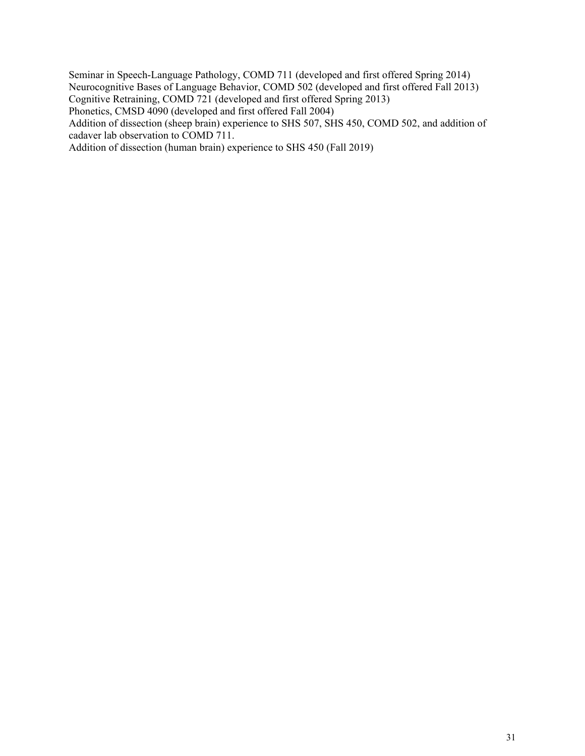Seminar in Speech-Language Pathology, COMD 711 (developed and first offered Spring 2014) Neurocognitive Bases of Language Behavior, COMD 502 (developed and first offered Fall 2013) Cognitive Retraining, COMD 721 (developed and first offered Spring 2013) Phonetics, CMSD 4090 (developed and first offered Fall 2004)

Addition of dissection (sheep brain) experience to SHS 507, SHS 450, COMD 502, and addition of cadaver lab observation to COMD 711.

Addition of dissection (human brain) experience to SHS 450 (Fall 2019)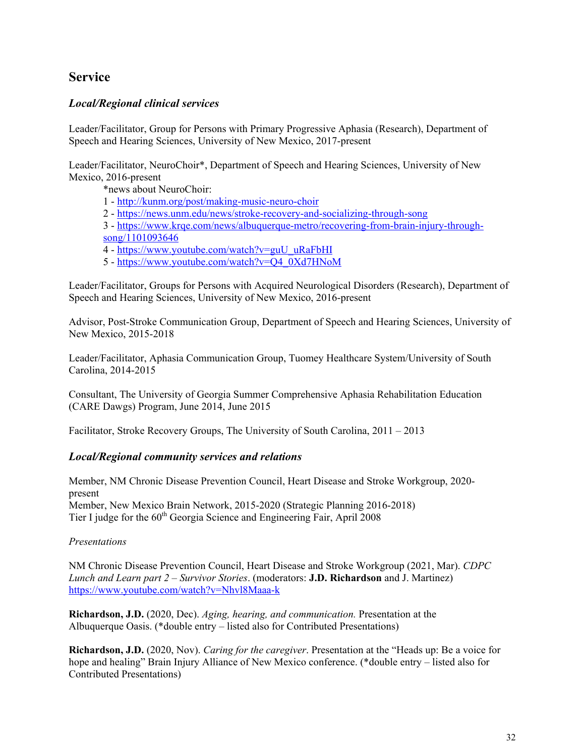## **Service**

### *Local/Regional clinical services*

Leader/Facilitator, Group for Persons with Primary Progressive Aphasia (Research), Department of Speech and Hearing Sciences, University of New Mexico, 2017-present

Leader/Facilitator, NeuroChoir\*, Department of Speech and Hearing Sciences, University of New Mexico, 2016-present

\*news about NeuroChoir:

- 1 <http://kunm.org/post/making-music-neuro-choir>
- 2 <https://news.unm.edu/news/stroke-recovery-and-socializing-through-song>
- 3 [https://www.krqe.com/news/albuquerque-metro/recovering-from-brain-injury-through](https://www.krqe.com/news/albuquerque-metro/recovering-from-brain-injury-through-song/1101093646)[song/1101093646](https://www.krqe.com/news/albuquerque-metro/recovering-from-brain-injury-through-song/1101093646)
- 4 [https://www.youtube.com/watch?v=guU\\_uRaFbHI](https://www.youtube.com/watch?v=guU_uRaFbHI)
- 5 [https://www.youtube.com/watch?v=Q4\\_0Xd7HNoM](https://www.youtube.com/watch?v=Q4_0Xd7HNoM)

Leader/Facilitator, Groups for Persons with Acquired Neurological Disorders (Research), Department of Speech and Hearing Sciences, University of New Mexico, 2016-present

Advisor, Post-Stroke Communication Group, Department of Speech and Hearing Sciences, University of New Mexico, 2015-2018

Leader/Facilitator, Aphasia Communication Group, Tuomey Healthcare System/University of South Carolina, 2014-2015

Consultant, The University of Georgia Summer Comprehensive Aphasia Rehabilitation Education (CARE Dawgs) Program, June 2014, June 2015

Facilitator, Stroke Recovery Groups, The University of South Carolina, 2011 – 2013

#### *Local/Regional community services and relations*

Member, NM Chronic Disease Prevention Council, Heart Disease and Stroke Workgroup, 2020 present Member, New Mexico Brain Network, 2015-2020 (Strategic Planning 2016-2018) Tier I judge for the  $60<sup>th</sup>$  Georgia Science and Engineering Fair, April 2008

#### *Presentations*

NM Chronic Disease Prevention Council, Heart Disease and Stroke Workgroup (2021, Mar). *CDPC Lunch and Learn part 2 – Survivor Stories*. (moderators: **J.D. Richardson** and J. Martinez) <https://www.youtube.com/watch?v=Nhvl8Maaa-k>

**Richardson, J.D.** (2020, Dec). *Aging, hearing, and communication.* Presentation at the Albuquerque Oasis. (\*double entry – listed also for Contributed Presentations)

**Richardson, J.D.** (2020, Nov). *Caring for the caregiver*. Presentation at the "Heads up: Be a voice for hope and healing" Brain Injury Alliance of New Mexico conference. (\*double entry – listed also for Contributed Presentations)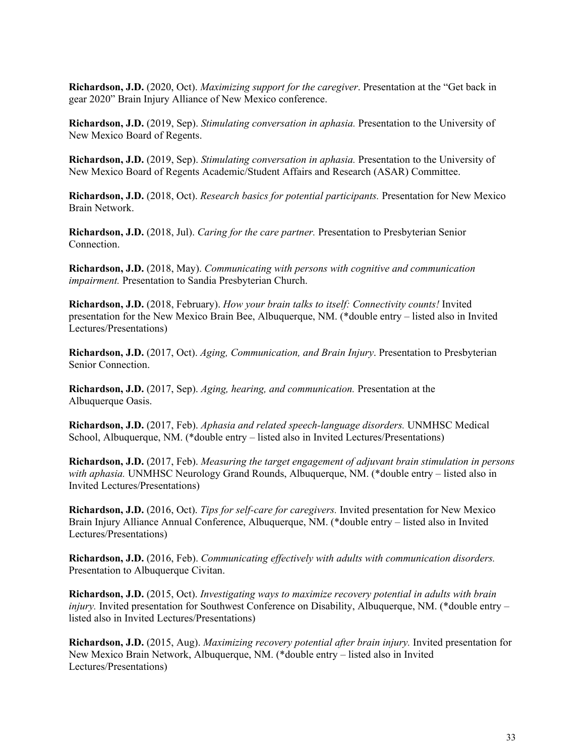**Richardson, J.D.** (2020, Oct). *Maximizing support for the caregiver*. Presentation at the "Get back in gear 2020" Brain Injury Alliance of New Mexico conference.

**Richardson, J.D.** (2019, Sep). *Stimulating conversation in aphasia.* Presentation to the University of New Mexico Board of Regents.

**Richardson, J.D.** (2019, Sep). *Stimulating conversation in aphasia.* Presentation to the University of New Mexico Board of Regents Academic/Student Affairs and Research (ASAR) Committee.

**Richardson, J.D.** (2018, Oct). *Research basics for potential participants.* Presentation for New Mexico Brain Network.

**Richardson, J.D.** (2018, Jul). *Caring for the care partner.* Presentation to Presbyterian Senior Connection.

**Richardson, J.D.** (2018, May). *Communicating with persons with cognitive and communication impairment.* Presentation to Sandia Presbyterian Church.

**Richardson, J.D.** (2018, February). *How your brain talks to itself: Connectivity counts!* Invited presentation for the New Mexico Brain Bee, Albuquerque, NM. (\*double entry – listed also in Invited Lectures/Presentations)

**Richardson, J.D.** (2017, Oct). *Aging, Communication, and Brain Injury*. Presentation to Presbyterian Senior Connection.

**Richardson, J.D.** (2017, Sep). *Aging, hearing, and communication.* Presentation at the Albuquerque Oasis.

**Richardson, J.D.** (2017, Feb). *Aphasia and related speech-language disorders.* UNMHSC Medical School, Albuquerque, NM. (\*double entry – listed also in Invited Lectures/Presentations)

**Richardson, J.D.** (2017, Feb). *Measuring the target engagement of adjuvant brain stimulation in persons with aphasia.* UNMHSC Neurology Grand Rounds, Albuquerque, NM. (\*double entry – listed also in Invited Lectures/Presentations)

**Richardson, J.D.** (2016, Oct). *Tips for self-care for caregivers.* Invited presentation for New Mexico Brain Injury Alliance Annual Conference, Albuquerque, NM. (\*double entry – listed also in Invited Lectures/Presentations)

**Richardson, J.D.** (2016, Feb). *Communicating effectively with adults with communication disorders.*  Presentation to Albuquerque Civitan.

**Richardson, J.D.** (2015, Oct). *Investigating ways to maximize recovery potential in adults with brain injury*. Invited presentation for Southwest Conference on Disability, Albuquerque, NM. (\*double entry – listed also in Invited Lectures/Presentations)

**Richardson, J.D.** (2015, Aug). *Maximizing recovery potential after brain injury.* Invited presentation for New Mexico Brain Network, Albuquerque, NM. (\*double entry – listed also in Invited Lectures/Presentations)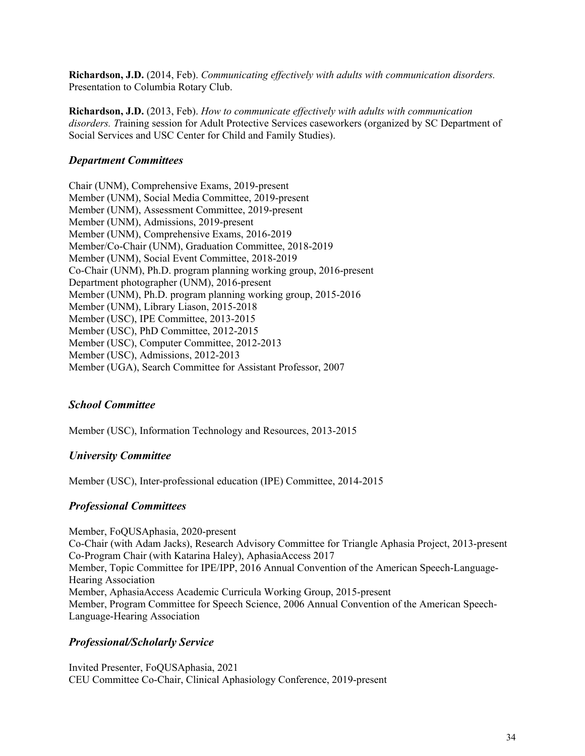**Richardson, J.D.** (2014, Feb). *Communicating effectively with adults with communication disorders.*  Presentation to Columbia Rotary Club.

**Richardson, J.D.** (2013, Feb). *How to communicate effectively with adults with communication disorders. T*raining session for Adult Protective Services caseworkers (organized by SC Department of Social Services and USC Center for Child and Family Studies).

#### *Department Committees*

Chair (UNM), Comprehensive Exams, 2019-present Member (UNM), Social Media Committee, 2019-present Member (UNM), Assessment Committee, 2019-present Member (UNM), Admissions, 2019-present Member (UNM), Comprehensive Exams, 2016-2019 Member/Co-Chair (UNM), Graduation Committee, 2018-2019 Member (UNM), Social Event Committee, 2018-2019 Co-Chair (UNM), Ph.D. program planning working group, 2016-present Department photographer (UNM), 2016-present Member (UNM), Ph.D. program planning working group, 2015-2016 Member (UNM), Library Liason, 2015-2018 Member (USC), IPE Committee, 2013-2015 Member (USC), PhD Committee, 2012-2015 Member (USC), Computer Committee, 2012-2013 Member (USC), Admissions, 2012-2013 Member (UGA), Search Committee for Assistant Professor, 2007

#### *School Committee*

Member (USC), Information Technology and Resources, 2013-2015

#### *University Committee*

Member (USC), Inter-professional education (IPE) Committee, 2014-2015

#### *Professional Committees*

Member, FoQUSAphasia, 2020-present Co-Chair (with Adam Jacks), Research Advisory Committee for Triangle Aphasia Project, 2013-present Co-Program Chair (with Katarina Haley), AphasiaAccess 2017 Member, Topic Committee for IPE/IPP, 2016 Annual Convention of the American Speech-Language-Hearing Association Member, AphasiaAccess Academic Curricula Working Group, 2015-present Member, Program Committee for Speech Science, 2006 Annual Convention of the American Speech-Language-Hearing Association

#### *Professional/Scholarly Service*

Invited Presenter, FoQUSAphasia, 2021 CEU Committee Co-Chair, Clinical Aphasiology Conference, 2019-present